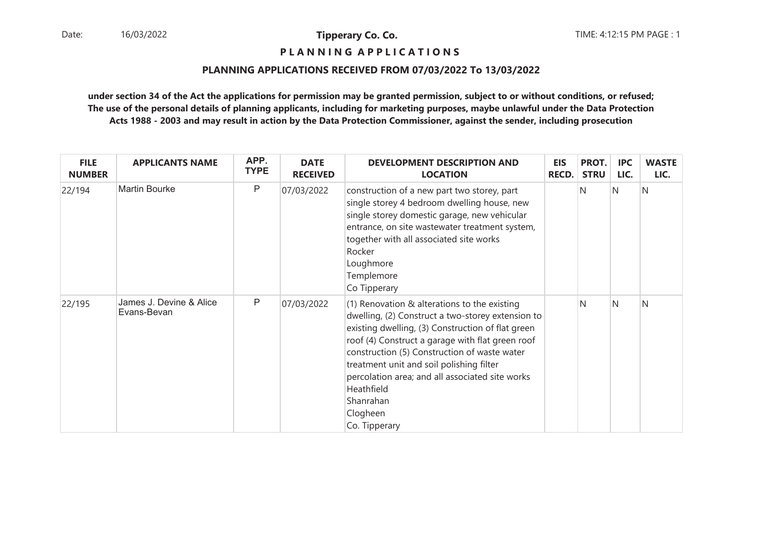**P L A N N I N G A P P L I C A T I O N S** 

## **PLANNING APPLICATIONS RECEIVED FROM 07/03/2022 To 13/03/2022**

| <b>FILE</b><br><b>NUMBER</b> | <b>APPLICANTS NAME</b>                 | APP.<br><b>TYPE</b> | <b>DATE</b><br><b>RECEIVED</b> | <b>DEVELOPMENT DESCRIPTION AND</b><br><b>LOCATION</b>                                                                                                                                                                                                                                                                                                                                                               | <b>EIS</b><br>RECD. | PROT.<br><b>STRU</b> | <b>IPC</b><br>LIC. | <b>WASTE</b><br>LIC. |
|------------------------------|----------------------------------------|---------------------|--------------------------------|---------------------------------------------------------------------------------------------------------------------------------------------------------------------------------------------------------------------------------------------------------------------------------------------------------------------------------------------------------------------------------------------------------------------|---------------------|----------------------|--------------------|----------------------|
| 22/194                       | <b>Martin Bourke</b>                   | P                   | 07/03/2022                     | construction of a new part two storey, part<br>single storey 4 bedroom dwelling house, new<br>single storey domestic garage, new vehicular<br>entrance, on site wastewater treatment system,<br>together with all associated site works<br>Rocker<br>Loughmore<br>Templemore<br>Co Tipperary                                                                                                                        |                     | N                    | IN.                | N                    |
| 22/195                       | James J. Devine & Alice<br>Evans-Bevan | P                   | 07/03/2022                     | $(1)$ Renovation & alterations to the existing<br>dwelling, (2) Construct a two-storey extension to<br>existing dwelling, (3) Construction of flat green<br>roof (4) Construct a garage with flat green roof<br>construction (5) Construction of waste water<br>treatment unit and soil polishing filter<br>percolation area; and all associated site works<br>Heathfield<br>Shanrahan<br>Clogheen<br>Co. Tipperary |                     | N                    | IN.                | N                    |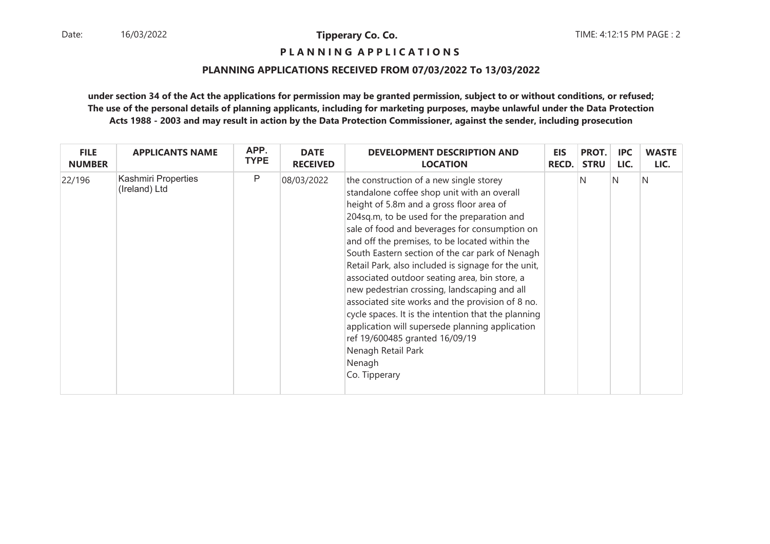**P L A N N I N G A P P L I C A T I O N S** 

## **PLANNING APPLICATIONS RECEIVED FROM 07/03/2022 To 13/03/2022**

| <b>FILE</b>   | <b>APPLICANTS NAME</b>               | APP.        | <b>DATE</b>     | <b>DEVELOPMENT DESCRIPTION AND</b>                                                                                                                                                                                                                                                                                                                                                                                                                                                                                                                                                                                                                                                                                                               | EIS          | PROT.       | IPC. | <b>WASTE</b> |
|---------------|--------------------------------------|-------------|-----------------|--------------------------------------------------------------------------------------------------------------------------------------------------------------------------------------------------------------------------------------------------------------------------------------------------------------------------------------------------------------------------------------------------------------------------------------------------------------------------------------------------------------------------------------------------------------------------------------------------------------------------------------------------------------------------------------------------------------------------------------------------|--------------|-------------|------|--------------|
| <b>NUMBER</b> |                                      | <b>TYPE</b> | <b>RECEIVED</b> | <b>LOCATION</b>                                                                                                                                                                                                                                                                                                                                                                                                                                                                                                                                                                                                                                                                                                                                  | <b>RECD.</b> | <b>STRU</b> | LIC. | LIC.         |
| 22/196        | Kashmiri Properties<br>(Ireland) Ltd | P           | 08/03/2022      | the construction of a new single storey<br>standalone coffee shop unit with an overall<br>height of 5.8m and a gross floor area of<br>204sq.m, to be used for the preparation and<br>sale of food and beverages for consumption on<br>and off the premises, to be located within the<br>South Eastern section of the car park of Nenagh<br>Retail Park, also included is signage for the unit,<br>associated outdoor seating area, bin store, a<br>new pedestrian crossing, landscaping and all<br>associated site works and the provision of 8 no.<br>cycle spaces. It is the intention that the planning<br>application will supersede planning application<br>ref 19/600485 granted 16/09/19<br>Nenagh Retail Park<br>Nenagh<br>Co. Tipperary |              | N           | N    | N            |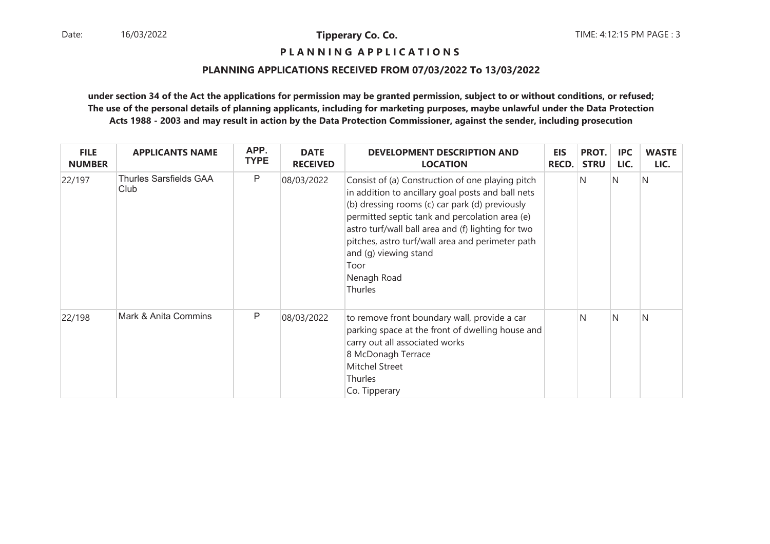**P L A N N I N G A P P L I C A T I O N S** 

## **PLANNING APPLICATIONS RECEIVED FROM 07/03/2022 To 13/03/2022**

| <b>FILE</b><br><b>NUMBER</b> | <b>APPLICANTS NAME</b>         | APP.<br><b>TYPE</b> | <b>DATE</b><br><b>RECEIVED</b> | <b>DEVELOPMENT DESCRIPTION AND</b><br><b>LOCATION</b>                                                                                                                                                                                                                                                                                                                          | <b>EIS</b><br><b>RECD.</b> | PROT.<br><b>STRU</b> | <b>IPC</b><br>LIC. | <b>WASTE</b><br>LIC. |
|------------------------------|--------------------------------|---------------------|--------------------------------|--------------------------------------------------------------------------------------------------------------------------------------------------------------------------------------------------------------------------------------------------------------------------------------------------------------------------------------------------------------------------------|----------------------------|----------------------|--------------------|----------------------|
| 22/197                       | Thurles Sarsfields GAA<br>Club | P                   | 08/03/2022                     | Consist of (a) Construction of one playing pitch<br>in addition to ancillary goal posts and ball nets<br>(b) dressing rooms (c) car park (d) previously<br>permitted septic tank and percolation area (e)<br>astro turf/wall ball area and (f) lighting for two<br>pitches, astro turf/wall area and perimeter path<br>and (g) viewing stand<br>Toor<br>Nenagh Road<br>Thurles |                            | N.                   | IN.                | N                    |
| 22/198                       | Mark & Anita Commins           | P                   | 08/03/2022                     | to remove front boundary wall, provide a car<br>parking space at the front of dwelling house and<br>carry out all associated works<br>8 McDonagh Terrace<br><b>Mitchel Street</b><br>Thurles<br>Co. Tipperary                                                                                                                                                                  |                            | N                    | N                  | N                    |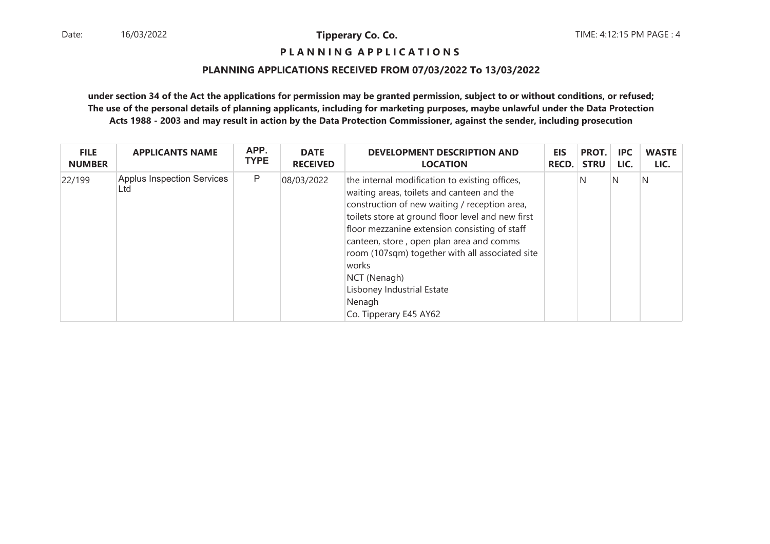## **P L A N N I N G A P P L I C A T I O N S**

## **PLANNING APPLICATIONS RECEIVED FROM 07/03/2022 To 13/03/2022**

| <b>FILE</b>   | <b>APPLICANTS NAME</b>                   | APP.        | <b>DATE</b>     | <b>DEVELOPMENT DESCRIPTION AND</b>                                                                                                                                                                                                                                                                                                                                                                                                            | <b>EIS</b>   | PROT.       | <b>IPC</b> | <b>WASTE</b> |
|---------------|------------------------------------------|-------------|-----------------|-----------------------------------------------------------------------------------------------------------------------------------------------------------------------------------------------------------------------------------------------------------------------------------------------------------------------------------------------------------------------------------------------------------------------------------------------|--------------|-------------|------------|--------------|
| <b>NUMBER</b> |                                          | <b>TYPE</b> | <b>RECEIVED</b> | <b>LOCATION</b>                                                                                                                                                                                                                                                                                                                                                                                                                               | <b>RECD.</b> | <b>STRU</b> | LIC.       | LIC.         |
| 22/199        | <b>Applus Inspection Services</b><br>Ltd | P           | 08/03/2022      | the internal modification to existing offices,<br>waiting areas, toilets and canteen and the<br>construction of new waiting / reception area,<br>toilets store at ground floor level and new first<br>floor mezzanine extension consisting of staff<br>canteen, store, open plan area and comms<br>room (107sqm) together with all associated site<br>works<br>NCT (Nenagh)<br>Lisboney Industrial Estate<br>Nenagh<br>Co. Tipperary E45 AY62 |              | N           | IN.        | N            |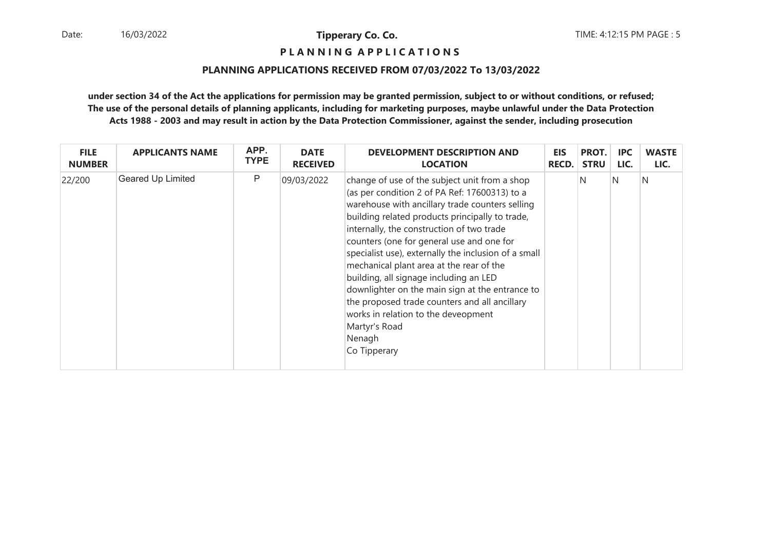**P L A N N I N G A P P L I C A T I O N S** 

## **PLANNING APPLICATIONS RECEIVED FROM 07/03/2022 To 13/03/2022**

| <b>FILE</b>   | <b>APPLICANTS NAME</b> | APP.        | <b>DATE</b>     | <b>DEVELOPMENT DESCRIPTION AND</b>                                                                                                                                                                                                                                                                                                                                                                                                                                                                                                                                                                                                 | <b>EIS</b>   | PROT.       | <b>IPC</b> | <b>WASTE</b> |
|---------------|------------------------|-------------|-----------------|------------------------------------------------------------------------------------------------------------------------------------------------------------------------------------------------------------------------------------------------------------------------------------------------------------------------------------------------------------------------------------------------------------------------------------------------------------------------------------------------------------------------------------------------------------------------------------------------------------------------------------|--------------|-------------|------------|--------------|
| <b>NUMBER</b> |                        | <b>TYPE</b> | <b>RECEIVED</b> | <b>LOCATION</b>                                                                                                                                                                                                                                                                                                                                                                                                                                                                                                                                                                                                                    | <b>RECD.</b> | <b>STRU</b> | LIC.       | LIC.         |
| 22/200        | Geared Up Limited      | P           | 09/03/2022      | change of use of the subject unit from a shop<br>(as per condition 2 of PA Ref: 17600313) to a<br>warehouse with ancillary trade counters selling<br>building related products principally to trade,<br>internally, the construction of two trade<br>counters (one for general use and one for<br>specialist use), externally the inclusion of a small<br>mechanical plant area at the rear of the<br>building, all signage including an LED<br>downlighter on the main sign at the entrance to<br>the proposed trade counters and all ancillary<br>works in relation to the deveopment<br>Martyr's Road<br>Nenagh<br>Co Tipperary |              | N           | IN.        | N            |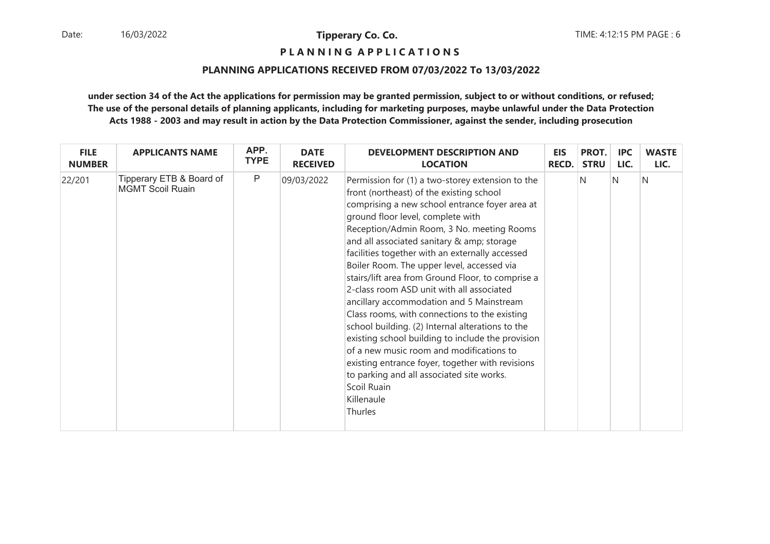**P L A N N I N G A P P L I C A T I O N S** 

## **PLANNING APPLICATIONS RECEIVED FROM 07/03/2022 To 13/03/2022**

| <b>FILE</b>   | <b>APPLICANTS NAME</b>                              | APP.        | <b>DATE</b>     | <b>DEVELOPMENT DESCRIPTION AND</b>                                                                                                                                                                                                                                                                                                                                                                                                                                                                                                                                                                                                                                                                                                                                                                                                                                           | <b>EIS</b> | PROT.       | <b>IPC</b> | <b>WASTE</b> |
|---------------|-----------------------------------------------------|-------------|-----------------|------------------------------------------------------------------------------------------------------------------------------------------------------------------------------------------------------------------------------------------------------------------------------------------------------------------------------------------------------------------------------------------------------------------------------------------------------------------------------------------------------------------------------------------------------------------------------------------------------------------------------------------------------------------------------------------------------------------------------------------------------------------------------------------------------------------------------------------------------------------------------|------------|-------------|------------|--------------|
| <b>NUMBER</b> |                                                     | <b>TYPE</b> | <b>RECEIVED</b> | <b>LOCATION</b>                                                                                                                                                                                                                                                                                                                                                                                                                                                                                                                                                                                                                                                                                                                                                                                                                                                              | RECD.      | <b>STRU</b> | LIC.       | LIC.         |
| 22/201        | Tipperary ETB & Board of<br><b>MGMT Scoil Ruain</b> | P           | 09/03/2022      | Permission for (1) a two-storey extension to the<br>front (northeast) of the existing school<br>comprising a new school entrance foyer area at<br>ground floor level, complete with<br>Reception/Admin Room, 3 No. meeting Rooms<br>and all associated sanitary & amp; storage<br>facilities together with an externally accessed<br>Boiler Room. The upper level, accessed via<br>stairs/lift area from Ground Floor, to comprise a<br>2-class room ASD unit with all associated<br>ancillary accommodation and 5 Mainstream<br>Class rooms, with connections to the existing<br>school building. (2) Internal alterations to the<br>existing school building to include the provision<br>of a new music room and modifications to<br>existing entrance foyer, together with revisions<br>to parking and all associated site works.<br>Scoil Ruain<br>Killenaule<br>Thurles |            | N           | N          | N            |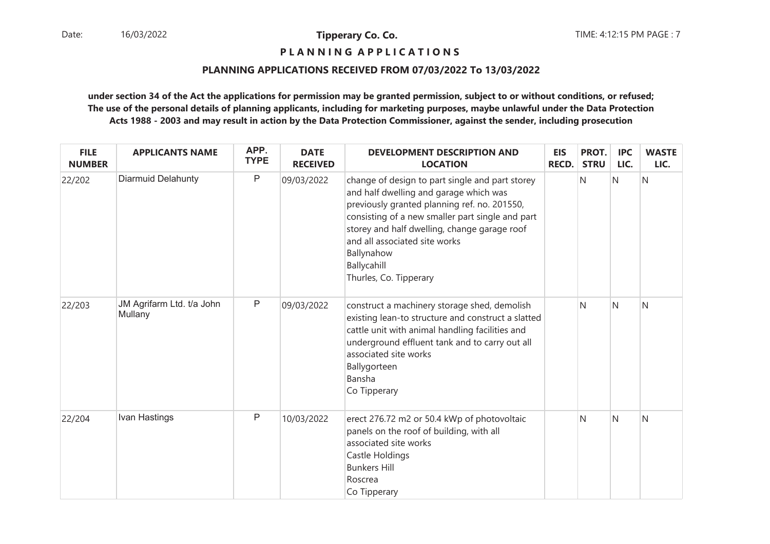**P L A N N I N G A P P L I C A T I O N S** 

## **PLANNING APPLICATIONS RECEIVED FROM 07/03/2022 To 13/03/2022**

| <b>FILE</b><br><b>NUMBER</b> | <b>APPLICANTS NAME</b>               | APP.<br><b>TYPE</b> | <b>DATE</b><br><b>RECEIVED</b> | <b>DEVELOPMENT DESCRIPTION AND</b><br><b>LOCATION</b>                                                                                                                                                                                                                                                                                 | <b>EIS</b><br><b>RECD.</b> | PROT.<br><b>STRU</b> | <b>IPC</b><br>LIC. | <b>WASTE</b><br>LIC. |
|------------------------------|--------------------------------------|---------------------|--------------------------------|---------------------------------------------------------------------------------------------------------------------------------------------------------------------------------------------------------------------------------------------------------------------------------------------------------------------------------------|----------------------------|----------------------|--------------------|----------------------|
| 22/202                       | <b>Diarmuid Delahunty</b>            | $\mathsf{P}$        | 09/03/2022                     | change of design to part single and part storey<br>and half dwelling and garage which was<br>previously granted planning ref. no. 201550,<br>consisting of a new smaller part single and part<br>storey and half dwelling, change garage roof<br>and all associated site works<br>Ballynahow<br>Ballycahill<br>Thurles, Co. Tipperary |                            | N                    | N                  | Ν                    |
| 22/203                       | JM Agrifarm Ltd. t/a John<br>Mullany | $\mathsf P$         | 09/03/2022                     | construct a machinery storage shed, demolish<br>existing lean-to structure and construct a slatted<br>cattle unit with animal handling facilities and<br>underground effluent tank and to carry out all<br>associated site works<br>Ballygorteen<br>Bansha<br>Co Tipperary                                                            |                            | N                    | N                  | N                    |
| 22/204                       | Ivan Hastings                        | $\mathsf{P}$        | 10/03/2022                     | erect 276.72 m2 or 50.4 kWp of photovoltaic<br>panels on the roof of building, with all<br>associated site works<br>Castle Holdings<br><b>Bunkers Hill</b><br>Roscrea<br>Co Tipperary                                                                                                                                                 |                            | N                    | N                  | N                    |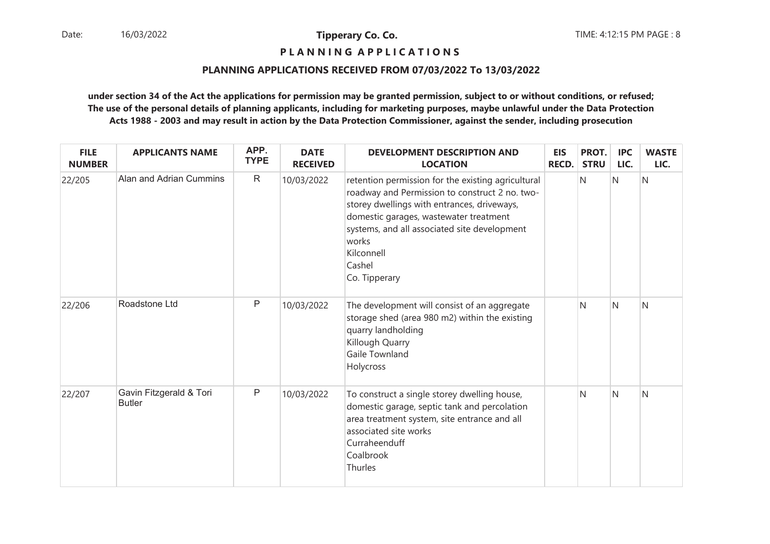**P L A N N I N G A P P L I C A T I O N S** 

## **PLANNING APPLICATIONS RECEIVED FROM 07/03/2022 To 13/03/2022**

| <b>FILE</b><br><b>NUMBER</b> | <b>APPLICANTS NAME</b>                   | APP.<br><b>TYPE</b> | <b>DATE</b><br><b>RECEIVED</b> | <b>DEVELOPMENT DESCRIPTION AND</b><br><b>LOCATION</b>                                                                                                                                                                                                                                           | <b>EIS</b><br>RECD. | PROT.<br><b>STRU</b> | <b>IPC</b><br>LIC. | <b>WASTE</b><br>LIC. |
|------------------------------|------------------------------------------|---------------------|--------------------------------|-------------------------------------------------------------------------------------------------------------------------------------------------------------------------------------------------------------------------------------------------------------------------------------------------|---------------------|----------------------|--------------------|----------------------|
| 22/205                       | Alan and Adrian Cummins                  | $\mathsf{R}$        | 10/03/2022                     | retention permission for the existing agricultural<br>roadway and Permission to construct 2 no. two-<br>storey dwellings with entrances, driveways,<br>domestic garages, wastewater treatment<br>systems, and all associated site development<br>works<br>Kilconnell<br>Cashel<br>Co. Tipperary |                     | N                    | $\mathsf{N}$       | N                    |
| 22/206                       | Roadstone Ltd                            | $\mathsf{P}$        | 10/03/2022                     | The development will consist of an aggregate<br>storage shed (area 980 m2) within the existing<br>quarry landholding<br>Killough Quarry<br>Gaile Townland<br>Holycross                                                                                                                          |                     | N                    | N                  | N                    |
| 22/207                       | Gavin Fitzgerald & Tori<br><b>Butler</b> | P                   | 10/03/2022                     | To construct a single storey dwelling house,<br>domestic garage, septic tank and percolation<br>area treatment system, site entrance and all<br>associated site works<br>Curraheenduff<br>Coalbrook<br>Thurles                                                                                  |                     | N                    | N                  | N                    |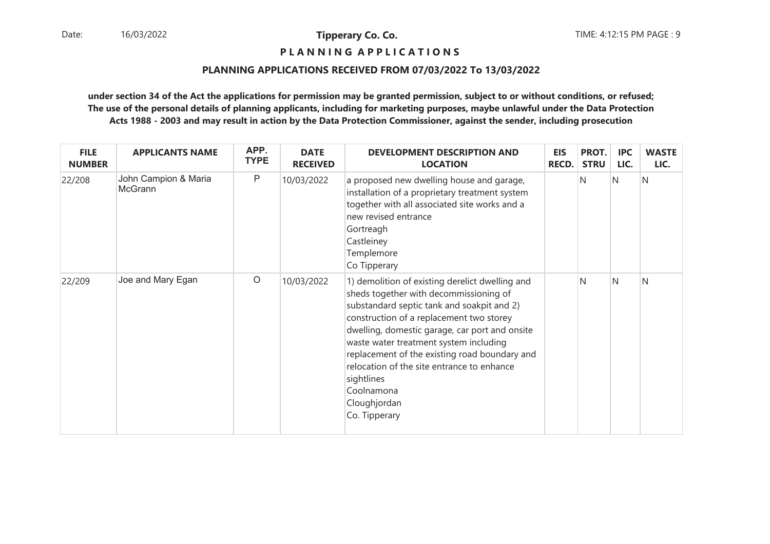**P L A N N I N G A P P L I C A T I O N S** 

## **PLANNING APPLICATIONS RECEIVED FROM 07/03/2022 To 13/03/2022**

| <b>FILE</b><br><b>NUMBER</b> | <b>APPLICANTS NAME</b>          | APP.<br><b>TYPE</b> | <b>DATE</b><br><b>RECEIVED</b> | <b>DEVELOPMENT DESCRIPTION AND</b><br><b>LOCATION</b>                                                                                                                                                                                                                                                                                                                                                                                       | <b>EIS</b><br><b>RECD.</b> | PROT.<br><b>STRU</b> | <b>IPC</b><br>LIC. | <b>WASTE</b><br>LIC. |
|------------------------------|---------------------------------|---------------------|--------------------------------|---------------------------------------------------------------------------------------------------------------------------------------------------------------------------------------------------------------------------------------------------------------------------------------------------------------------------------------------------------------------------------------------------------------------------------------------|----------------------------|----------------------|--------------------|----------------------|
| 22/208                       | John Campion & Maria<br>McGrann | P                   | 10/03/2022                     | a proposed new dwelling house and garage,<br>installation of a proprietary treatment system<br>together with all associated site works and a<br>new revised entrance<br>Gortreagh<br>Castleiney<br>Templemore<br>Co Tipperary                                                                                                                                                                                                               |                            | N                    | IN.                | N                    |
| 22/209                       | Joe and Mary Egan               | $\circ$             | 10/03/2022                     | 1) demolition of existing derelict dwelling and<br>sheds together with decommissioning of<br>substandard septic tank and soakpit and 2)<br>construction of a replacement two storey<br>dwelling, domestic garage, car port and onsite<br>waste water treatment system including<br>replacement of the existing road boundary and<br>relocation of the site entrance to enhance<br>sightlines<br>Coolnamona<br>Cloughjordan<br>Co. Tipperary |                            | N                    | $\mathsf{N}$       | N                    |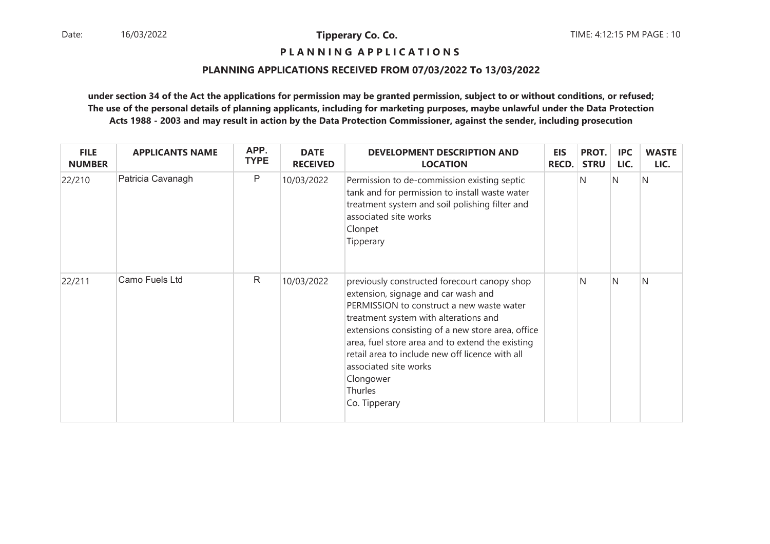**P L A N N I N G A P P L I C A T I O N S** 

## **PLANNING APPLICATIONS RECEIVED FROM 07/03/2022 To 13/03/2022**

| <b>FILE</b><br><b>NUMBER</b> | <b>APPLICANTS NAME</b> | APP.<br><b>TYPE</b> | <b>DATE</b><br><b>RECEIVED</b> | <b>DEVELOPMENT DESCRIPTION AND</b><br><b>LOCATION</b>                                                                                                                                                                                                                                                                                                                                                   | <b>EIS</b><br><b>RECD.</b> | PROT.<br><b>STRU</b> | <b>IPC</b><br>LIC. | <b>WASTE</b><br>LIC. |
|------------------------------|------------------------|---------------------|--------------------------------|---------------------------------------------------------------------------------------------------------------------------------------------------------------------------------------------------------------------------------------------------------------------------------------------------------------------------------------------------------------------------------------------------------|----------------------------|----------------------|--------------------|----------------------|
| 22/210                       | Patricia Cavanagh      | P                   | 10/03/2022                     | Permission to de-commission existing septic<br>tank and for permission to install waste water<br>treatment system and soil polishing filter and<br>associated site works<br>Clonpet<br>Tipperary                                                                                                                                                                                                        |                            | N                    | IN.                | N                    |
| 22/211                       | Camo Fuels Ltd         | $\mathsf{R}$        | 10/03/2022                     | previously constructed forecourt canopy shop<br>extension, signage and car wash and<br>PERMISSION to construct a new waste water<br>treatment system with alterations and<br>extensions consisting of a new store area, office<br>area, fuel store area and to extend the existing<br>retail area to include new off licence with all<br>associated site works<br>Clongower<br>Thurles<br>Co. Tipperary |                            | N                    | N                  | N                    |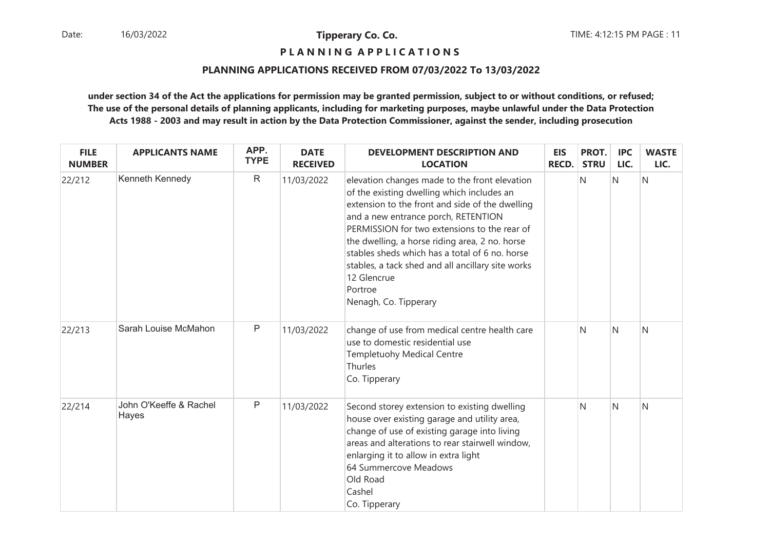**P L A N N I N G A P P L I C A T I O N S** 

## **PLANNING APPLICATIONS RECEIVED FROM 07/03/2022 To 13/03/2022**

| <b>FILE</b><br><b>NUMBER</b> | <b>APPLICANTS NAME</b>          | APP.<br><b>TYPE</b> | <b>DATE</b><br><b>RECEIVED</b> | <b>DEVELOPMENT DESCRIPTION AND</b><br><b>LOCATION</b>                                                                                                                                                                                                                                                                                                                                                                                             | <b>EIS</b><br><b>RECD.</b> | PROT.<br><b>STRU</b> | <b>IPC</b><br>LIC. | <b>WASTE</b><br>LIC. |
|------------------------------|---------------------------------|---------------------|--------------------------------|---------------------------------------------------------------------------------------------------------------------------------------------------------------------------------------------------------------------------------------------------------------------------------------------------------------------------------------------------------------------------------------------------------------------------------------------------|----------------------------|----------------------|--------------------|----------------------|
| 22/212                       | Kenneth Kennedy                 | $\mathsf{R}$        | 11/03/2022                     | elevation changes made to the front elevation<br>of the existing dwelling which includes an<br>extension to the front and side of the dwelling<br>and a new entrance porch, RETENTION<br>PERMISSION for two extensions to the rear of<br>the dwelling, a horse riding area, 2 no. horse<br>stables sheds which has a total of 6 no. horse<br>stables, a tack shed and all ancillary site works<br>12 Glencrue<br>Portroe<br>Nenagh, Co. Tipperary |                            | N                    | $\mathsf{N}$       | N                    |
| 22/213                       | Sarah Louise McMahon            | $\mathsf{P}$        | 11/03/2022                     | change of use from medical centre health care<br>use to domestic residential use<br><b>Templetuohy Medical Centre</b><br>Thurles<br>Co. Tipperary                                                                                                                                                                                                                                                                                                 |                            | N                    | N                  | N                    |
| 22/214                       | John O'Keeffe & Rachel<br>Hayes | $\mathsf{P}$        | 11/03/2022                     | Second storey extension to existing dwelling<br>house over existing garage and utility area,<br>change of use of existing garage into living<br>areas and alterations to rear stairwell window,<br>enlarging it to allow in extra light<br>64 Summercove Meadows<br>Old Road<br>Cashel<br>Co. Tipperary                                                                                                                                           |                            | N                    | N                  | Ν                    |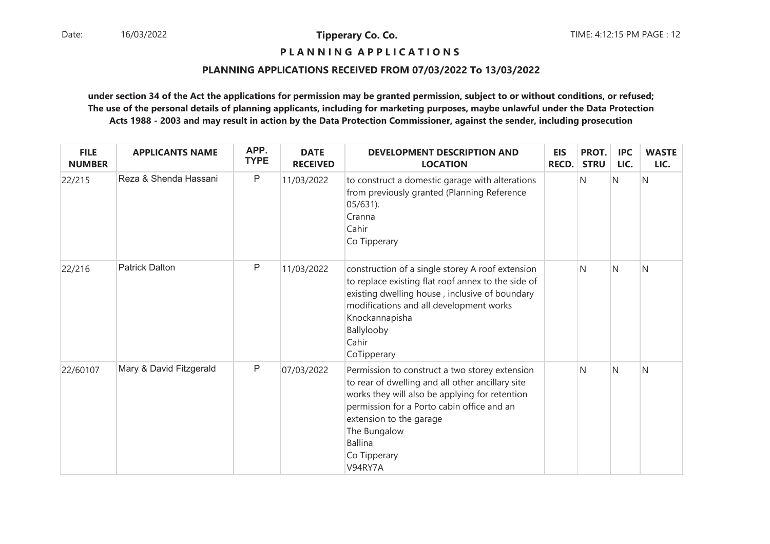## **P L A N N I N G A P P L I C A T I O N S**

## **PLANNING APPLICATIONS RECEIVED FROM 07/03/2022 To 13/03/2022**

| <b>FILE</b><br><b>NUMBER</b> | <b>APPLICANTS NAME</b>  | APP.<br><b>TYPE</b> | <b>DATE</b><br><b>RECEIVED</b> | <b>DEVELOPMENT DESCRIPTION AND</b><br><b>LOCATION</b>                                                                                                                                                                                                                                      | <b>EIS</b><br><b>RECD.</b> | PROT.<br><b>STRU</b> | <b>IPC</b><br>LIC. | <b>WASTE</b><br>LIC. |
|------------------------------|-------------------------|---------------------|--------------------------------|--------------------------------------------------------------------------------------------------------------------------------------------------------------------------------------------------------------------------------------------------------------------------------------------|----------------------------|----------------------|--------------------|----------------------|
| 22/215                       | Reza & Shenda Hassani   | P                   | 11/03/2022                     | to construct a domestic garage with alterations<br>from previously granted (Planning Reference<br>$05/631$ ).<br>Cranna<br>Cahir<br>Co Tipperary                                                                                                                                           |                            | N                    | $\mathsf{N}$       | N                    |
| 22/216                       | <b>Patrick Dalton</b>   | P                   | 11/03/2022                     | construction of a single storey A roof extension<br>to replace existing flat roof annex to the side of<br>existing dwelling house, inclusive of boundary<br>modifications and all development works<br>Knockannapisha<br>Ballylooby<br>Cahir<br>CoTipperary                                |                            | N                    | N                  | N                    |
| 22/60107                     | Mary & David Fitzgerald | P                   | 07/03/2022                     | Permission to construct a two storey extension<br>to rear of dwelling and all other ancillary site<br>works they will also be applying for retention<br>permission for a Porto cabin office and an<br>extension to the garage<br>The Bungalow<br><b>Ballina</b><br>Co Tipperary<br>V94RY7A |                            | N                    | $\mathsf{N}$       | N                    |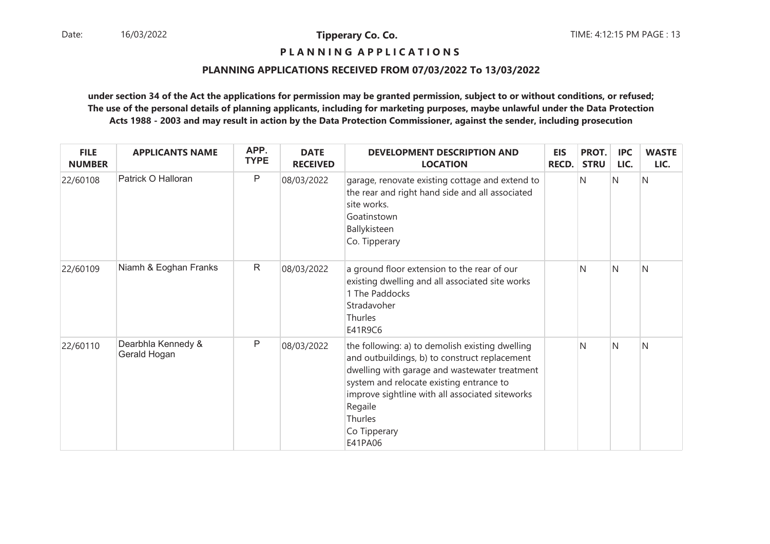## **P L A N N I N G A P P L I C A T I O N S**

## **PLANNING APPLICATIONS RECEIVED FROM 07/03/2022 To 13/03/2022**

| <b>FILE</b><br><b>NUMBER</b> | <b>APPLICANTS NAME</b>             | APP.<br><b>TYPE</b> | <b>DATE</b><br><b>RECEIVED</b> | <b>DEVELOPMENT DESCRIPTION AND</b><br><b>LOCATION</b>                                                                                                                                                                                                                                             | <b>EIS</b><br><b>RECD.</b> | PROT.<br><b>STRU</b> | <b>IPC</b><br>LIC. | <b>WASTE</b><br>LIC. |
|------------------------------|------------------------------------|---------------------|--------------------------------|---------------------------------------------------------------------------------------------------------------------------------------------------------------------------------------------------------------------------------------------------------------------------------------------------|----------------------------|----------------------|--------------------|----------------------|
| 22/60108                     | Patrick O Halloran                 | $\mathsf{P}$        | 08/03/2022                     | garage, renovate existing cottage and extend to<br>the rear and right hand side and all associated<br>site works.<br>Goatinstown<br>Ballykisteen<br>Co. Tipperary                                                                                                                                 |                            | N                    | IN.                | N                    |
| 22/60109                     | Niamh & Eoghan Franks              | $\mathsf{R}$        | 08/03/2022                     | a ground floor extension to the rear of our<br>existing dwelling and all associated site works<br>1 The Paddocks<br>Stradavoher<br><b>Thurles</b><br>E41R9C6                                                                                                                                      |                            | N                    | N                  | N                    |
| 22/60110                     | Dearbhla Kennedy &<br>Gerald Hogan | P                   | 08/03/2022                     | the following: a) to demolish existing dwelling<br>and outbuildings, b) to construct replacement<br>dwelling with garage and wastewater treatment<br>system and relocate existing entrance to<br>improve sightline with all associated siteworks<br>Regaile<br>Thurles<br>Co Tipperary<br>E41PA06 |                            | N                    | $\mathsf{N}$       | N                    |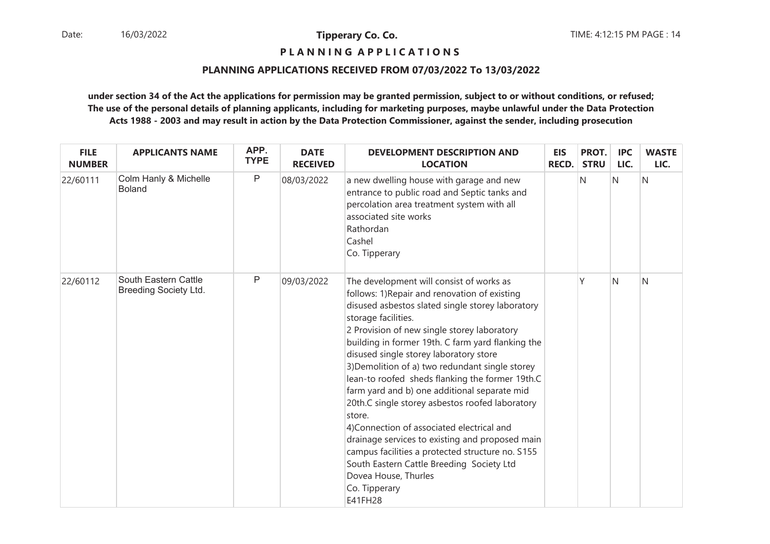**P L A N N I N G A P P L I C A T I O N S** 

## **PLANNING APPLICATIONS RECEIVED FROM 07/03/2022 To 13/03/2022**

| <b>FILE</b><br><b>NUMBER</b> | <b>APPLICANTS NAME</b>                               | APP.<br><b>TYPE</b> | <b>DATE</b><br><b>RECEIVED</b> | <b>DEVELOPMENT DESCRIPTION AND</b><br><b>LOCATION</b>                                                                                                                                                                                                                                                                                                                                                                                                                                                                                                                                                                                                                                                                                                                                       | <b>EIS</b><br><b>RECD.</b> | PROT.<br><b>STRU</b> | <b>IPC</b><br>LIC. | <b>WASTE</b><br>LIC. |
|------------------------------|------------------------------------------------------|---------------------|--------------------------------|---------------------------------------------------------------------------------------------------------------------------------------------------------------------------------------------------------------------------------------------------------------------------------------------------------------------------------------------------------------------------------------------------------------------------------------------------------------------------------------------------------------------------------------------------------------------------------------------------------------------------------------------------------------------------------------------------------------------------------------------------------------------------------------------|----------------------------|----------------------|--------------------|----------------------|
| 22/60111                     | Colm Hanly & Michelle<br><b>Boland</b>               | P                   | 08/03/2022                     | a new dwelling house with garage and new<br>entrance to public road and Septic tanks and<br>percolation area treatment system with all<br>associated site works<br>Rathordan<br>Cashel<br>Co. Tipperary                                                                                                                                                                                                                                                                                                                                                                                                                                                                                                                                                                                     |                            | N                    | IN.                | IN.                  |
| 22/60112                     | South Eastern Cattle<br><b>Breeding Society Ltd.</b> | $\mathsf{P}$        | 09/03/2022                     | The development will consist of works as<br>follows: 1) Repair and renovation of existing<br>disused asbestos slated single storey laboratory<br>storage facilities.<br>2 Provision of new single storey laboratory<br>building in former 19th. C farm yard flanking the<br>disused single storey laboratory store<br>3) Demolition of a) two redundant single storey<br>lean-to roofed sheds flanking the former 19th.C<br>farm yard and b) one additional separate mid<br>20th.C single storey asbestos roofed laboratory<br>store.<br>4) Connection of associated electrical and<br>drainage services to existing and proposed main<br>campus facilities a protected structure no. S155<br>South Eastern Cattle Breeding Society Ltd<br>Dovea House, Thurles<br>Co. Tipperary<br>E41FH28 |                            | ٧                    | N                  | N                    |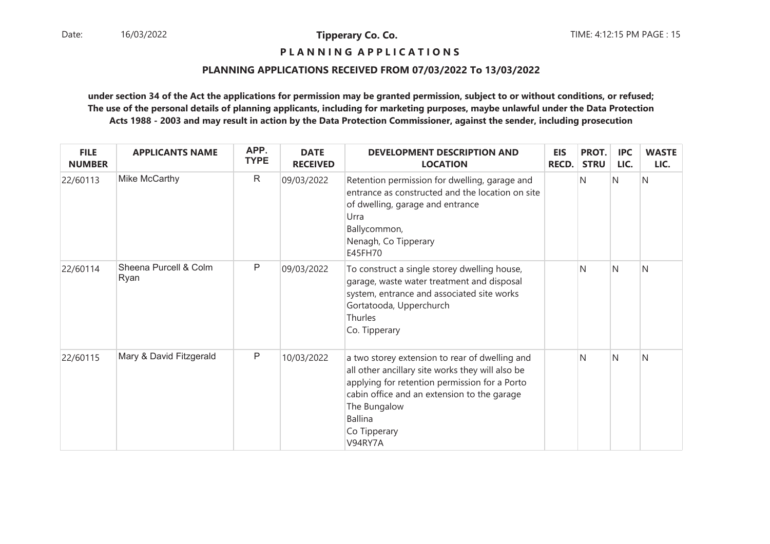**P L A N N I N G A P P L I C A T I O N S** 

## **PLANNING APPLICATIONS RECEIVED FROM 07/03/2022 To 13/03/2022**

| <b>FILE</b><br><b>NUMBER</b> | <b>APPLICANTS NAME</b>        | APP.<br><b>TYPE</b> | <b>DATE</b><br><b>RECEIVED</b> | <b>DEVELOPMENT DESCRIPTION AND</b><br><b>LOCATION</b>                                                                                                                                                                                                           | <b>EIS</b><br><b>RECD.</b> | PROT.<br><b>STRU</b> | <b>IPC</b><br>LIC. | <b>WASTE</b><br>LIC. |
|------------------------------|-------------------------------|---------------------|--------------------------------|-----------------------------------------------------------------------------------------------------------------------------------------------------------------------------------------------------------------------------------------------------------------|----------------------------|----------------------|--------------------|----------------------|
| 22/60113                     | Mike McCarthy                 | $\mathsf{R}$        | 09/03/2022                     | Retention permission for dwelling, garage and<br>entrance as constructed and the location on site<br>of dwelling, garage and entrance<br>Urra<br>Ballycommon,<br>Nenagh, Co Tipperary<br>E45FH70                                                                |                            | N                    | Ν                  | N                    |
| 22/60114                     | Sheena Purcell & Colm<br>Ryan | P                   | 09/03/2022                     | To construct a single storey dwelling house,<br>garage, waste water treatment and disposal<br>system, entrance and associated site works<br>Gortatooda, Upperchurch<br><b>Thurles</b><br>Co. Tipperary                                                          |                            | N                    | N                  | N                    |
| 22/60115                     | Mary & David Fitzgerald       | P                   | 10/03/2022                     | a two storey extension to rear of dwelling and<br>all other ancillary site works they will also be<br>applying for retention permission for a Porto<br>cabin office and an extension to the garage<br>The Bungalow<br><b>Ballina</b><br>Co Tipperary<br>V94RY7A |                            | N                    | N                  | N                    |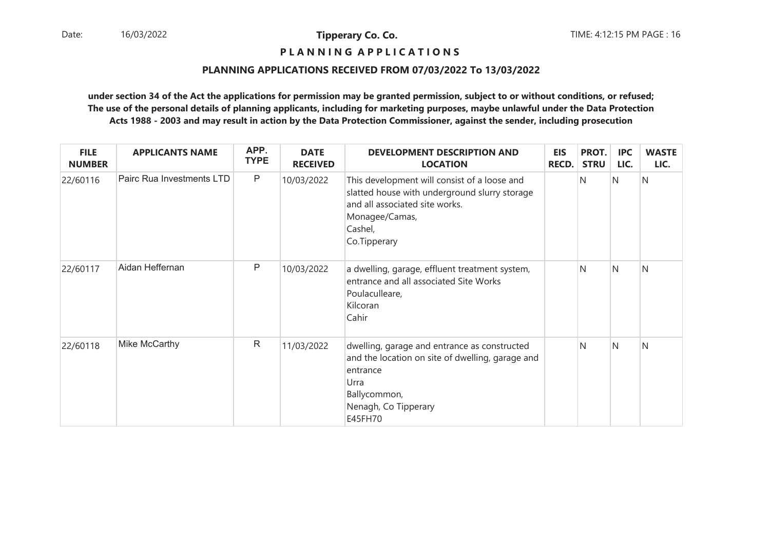## **P L A N N I N G A P P L I C A T I O N S**

## **PLANNING APPLICATIONS RECEIVED FROM 07/03/2022 To 13/03/2022**

| <b>FILE</b><br><b>NUMBER</b> | <b>APPLICANTS NAME</b>    | APP.<br><b>TYPE</b> | <b>DATE</b><br><b>RECEIVED</b> | <b>DEVELOPMENT DESCRIPTION AND</b><br><b>LOCATION</b>                                                                                                                        | <b>EIS</b><br><b>RECD.</b> | PROT.<br><b>STRU</b> | <b>IPC</b><br>LIC. | <b>WASTE</b><br>LIC. |
|------------------------------|---------------------------|---------------------|--------------------------------|------------------------------------------------------------------------------------------------------------------------------------------------------------------------------|----------------------------|----------------------|--------------------|----------------------|
| 22/60116                     | Pairc Rua Investments LTD | $\mathsf P$         | 10/03/2022                     | This development will consist of a loose and<br>slatted house with underground slurry storage<br>and all associated site works.<br>Monagee/Camas,<br>Cashel,<br>Co.Tipperary |                            | N                    | IN.                | N                    |
| 22/60117                     | Aidan Heffernan           | P                   | 10/03/2022                     | a dwelling, garage, effluent treatment system,<br>entrance and all associated Site Works<br>Poulaculleare,<br>Kilcoran<br>Cahir                                              |                            | N                    | IN.                | N                    |
| 22/60118                     | Mike McCarthy             | $\mathsf{R}$        | 11/03/2022                     | dwelling, garage and entrance as constructed<br>and the location on site of dwelling, garage and<br>entrance<br>Urra<br>Ballycommon,<br>Nenagh, Co Tipperary<br>E45FH70      |                            | N                    | IN.                | N                    |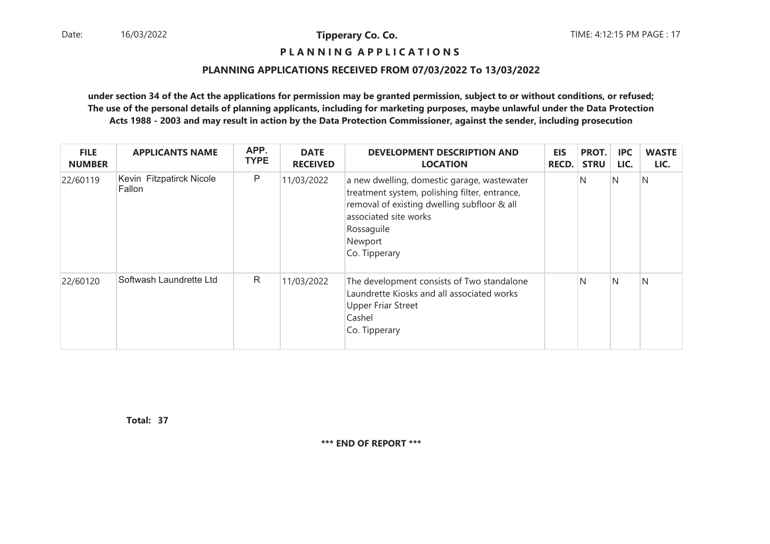## **P L A N N I N G A P P L I C A T I O N S**

#### **PLANNING APPLICATIONS RECEIVED FROM 07/03/2022 To 13/03/2022**

**under section 34 of the Act the applications for permission may be granted permission, subject to or without conditions, or refused; The use of the personal details of planning applicants, including for marketing purposes, maybe unlawful under the Data ProtectionActs 1988 - 2003 and may result in action by the Data Protection Commissioner, against the sender, including prosecution**

| <b>FILE</b><br><b>NUMBER</b> | <b>APPLICANTS NAME</b>             | APP.<br><b>TYPE</b> | <b>DATE</b><br><b>RECEIVED</b> | <b>DEVELOPMENT DESCRIPTION AND</b><br><b>LOCATION</b>                                                                                                                                                          | <b>EIS</b><br><b>RECD.</b> | PROT.<br><b>STRU</b> | <b>IPC</b><br>LIC. | <b>WASTE</b><br>LIC. |
|------------------------------|------------------------------------|---------------------|--------------------------------|----------------------------------------------------------------------------------------------------------------------------------------------------------------------------------------------------------------|----------------------------|----------------------|--------------------|----------------------|
| 22/60119                     | Kevin Fitzpatirck Nicole<br>Fallon | $\mathsf{P}$        | 11/03/2022                     | a new dwelling, domestic garage, wastewater<br>treatment system, polishing filter, entrance,<br>removal of existing dwelling subfloor & all<br>associated site works<br>Rossaguile<br>Newport<br>Co. Tipperary |                            | N                    | N                  | N                    |
| 22/60120                     | Softwash Laundrette Ltd            | $\mathsf{R}$        | 11/03/2022                     | The development consists of Two standalone<br>Laundrette Kiosks and all associated works<br><b>Upper Friar Street</b><br>Cashel<br>Co. Tipperary                                                               |                            | 'N                   | N                  | N                    |

**37Total:**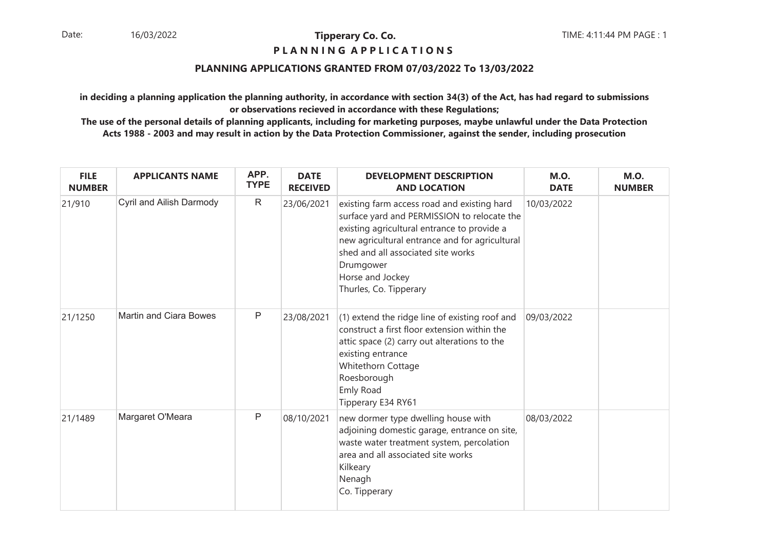## **P L A N N I N G A P P L I C A T I O N S**

## **PLANNING APPLICATIONS GRANTED FROM 07/03/2022 To 13/03/2022**

**in deciding a planning application the planning authority, in accordance with section 34(3) of the Act, has had regard to submissionsor observations recieved in accordance with these Regulations;**

| <b>FILE</b><br><b>NUMBER</b> | <b>APPLICANTS NAME</b>        | APP.<br><b>TYPE</b> | <b>DATE</b><br><b>RECEIVED</b> | <b>DEVELOPMENT DESCRIPTION</b><br><b>AND LOCATION</b>                                                                                                                                                                                                                                        | <b>M.O.</b><br><b>DATE</b> | <b>M.O.</b><br><b>NUMBER</b> |
|------------------------------|-------------------------------|---------------------|--------------------------------|----------------------------------------------------------------------------------------------------------------------------------------------------------------------------------------------------------------------------------------------------------------------------------------------|----------------------------|------------------------------|
| 21/910                       | Cyril and Ailish Darmody      | $\mathsf R$         | 23/06/2021                     | existing farm access road and existing hard<br>surface yard and PERMISSION to relocate the<br>existing agricultural entrance to provide a<br>new agricultural entrance and for agricultural<br>shed and all associated site works<br>Drumgower<br>Horse and Jockey<br>Thurles, Co. Tipperary | 10/03/2022                 |                              |
| 21/1250                      | <b>Martin and Ciara Bowes</b> | $\mathsf{P}$        | 23/08/2021                     | (1) extend the ridge line of existing roof and<br>construct a first floor extension within the<br>attic space (2) carry out alterations to the<br>existing entrance<br>Whitethorn Cottage<br>Roesborough<br>Emly Road<br>Tipperary E34 RY61                                                  | 09/03/2022                 |                              |
| 21/1489                      | Margaret O'Meara              | $\mathsf{P}$        | 08/10/2021                     | new dormer type dwelling house with<br>adjoining domestic garage, entrance on site,<br>waste water treatment system, percolation<br>area and all associated site works<br>Kilkeary<br>Nenagh<br>Co. Tipperary                                                                                | 08/03/2022                 |                              |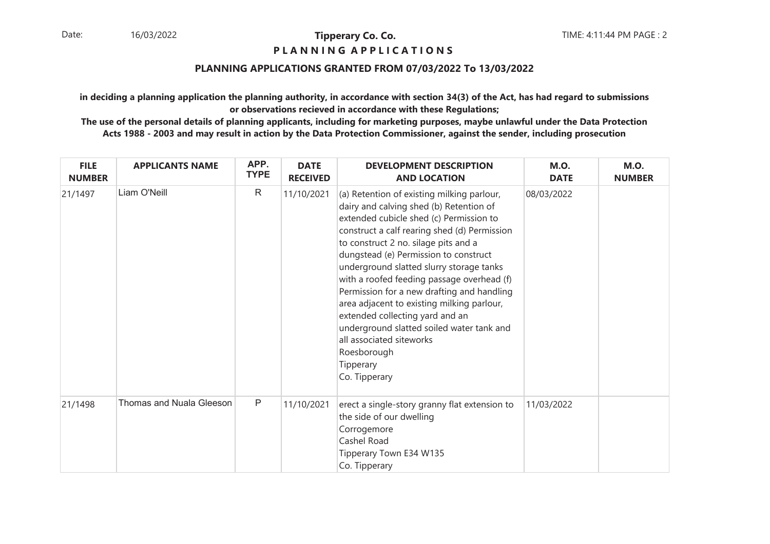## **P L A N N I N G A P P L I C A T I O N S**

## **PLANNING APPLICATIONS GRANTED FROM 07/03/2022 To 13/03/2022**

**in deciding a planning application the planning authority, in accordance with section 34(3) of the Act, has had regard to submissionsor observations recieved in accordance with these Regulations;**

| <b>FILE</b><br><b>NUMBER</b> | <b>APPLICANTS NAME</b>   | APP.<br><b>TYPE</b> | <b>DATE</b><br><b>RECEIVED</b> | <b>DEVELOPMENT DESCRIPTION</b><br><b>AND LOCATION</b>                                                                                                                                                                                                                                                                                                                                                                                                                                                                                                                                                            | <b>M.O.</b><br><b>DATE</b> | <b>M.O.</b><br><b>NUMBER</b> |
|------------------------------|--------------------------|---------------------|--------------------------------|------------------------------------------------------------------------------------------------------------------------------------------------------------------------------------------------------------------------------------------------------------------------------------------------------------------------------------------------------------------------------------------------------------------------------------------------------------------------------------------------------------------------------------------------------------------------------------------------------------------|----------------------------|------------------------------|
| 21/1497                      | Liam O'Neill             | $\mathsf{R}$        | 11/10/2021                     | (a) Retention of existing milking parlour,<br>dairy and calving shed (b) Retention of<br>extended cubicle shed (c) Permission to<br>construct a calf rearing shed (d) Permission<br>to construct 2 no. silage pits and a<br>dungstead (e) Permission to construct<br>underground slatted slurry storage tanks<br>with a roofed feeding passage overhead (f)<br>Permission for a new drafting and handling<br>area adjacent to existing milking parlour,<br>extended collecting yard and an<br>underground slatted soiled water tank and<br>all associated siteworks<br>Roesborough<br>Tipperary<br>Co. Tipperary | 08/03/2022                 |                              |
| 21/1498                      | Thomas and Nuala Gleeson | $\mathsf{P}$        | 11/10/2021                     | erect a single-story granny flat extension to<br>the side of our dwelling<br>Corrogemore<br>Cashel Road<br>Tipperary Town E34 W135<br>Co. Tipperary                                                                                                                                                                                                                                                                                                                                                                                                                                                              | 11/03/2022                 |                              |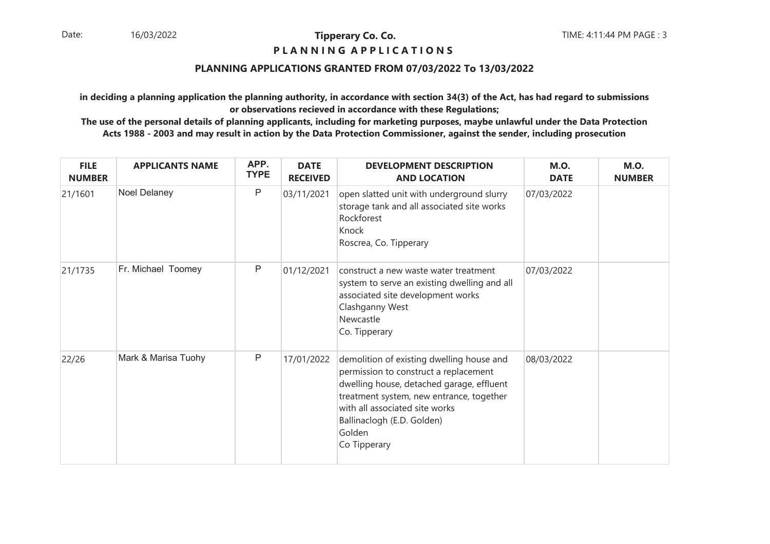## **P L A N N I N G A P P L I C A T I O N S**

## **PLANNING APPLICATIONS GRANTED FROM 07/03/2022 To 13/03/2022**

**in deciding a planning application the planning authority, in accordance with section 34(3) of the Act, has had regard to submissionsor observations recieved in accordance with these Regulations;**

| <b>FILE</b><br><b>NUMBER</b> | <b>APPLICANTS NAME</b> | APP.<br><b>TYPE</b> | <b>DATE</b><br><b>RECEIVED</b> | <b>DEVELOPMENT DESCRIPTION</b><br><b>AND LOCATION</b>                                                                                                                                                                                                                 | <b>M.O.</b><br><b>DATE</b> | <b>M.O.</b><br><b>NUMBER</b> |
|------------------------------|------------------------|---------------------|--------------------------------|-----------------------------------------------------------------------------------------------------------------------------------------------------------------------------------------------------------------------------------------------------------------------|----------------------------|------------------------------|
| 21/1601                      | Noel Delaney           | P                   | 03/11/2021                     | open slatted unit with underground slurry<br>storage tank and all associated site works<br>Rockforest<br>Knock<br>Roscrea, Co. Tipperary                                                                                                                              | 07/03/2022                 |                              |
| 21/1735                      | Fr. Michael Toomey     | P                   | 01/12/2021                     | construct a new waste water treatment<br>system to serve an existing dwelling and all<br>associated site development works<br>Clashganny West<br>Newcastle<br>Co. Tipperary                                                                                           | 07/03/2022                 |                              |
| 22/26                        | Mark & Marisa Tuohy    | P                   | 17/01/2022                     | demolition of existing dwelling house and<br>permission to construct a replacement<br>dwelling house, detached garage, effluent<br>treatment system, new entrance, together<br>with all associated site works<br>Ballinaclogh (E.D. Golden)<br>Golden<br>Co Tipperary | 08/03/2022                 |                              |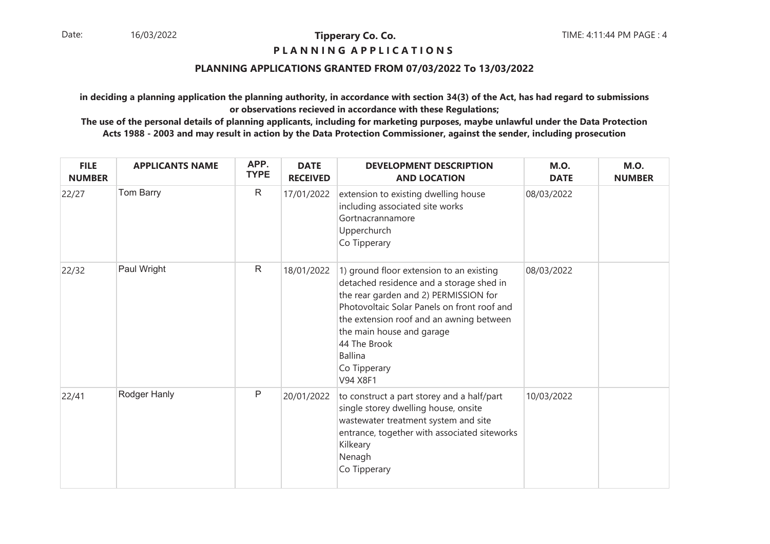## **P L A N N I N G A P P L I C A T I O N S**

## **PLANNING APPLICATIONS GRANTED FROM 07/03/2022 To 13/03/2022**

**in deciding a planning application the planning authority, in accordance with section 34(3) of the Act, has had regard to submissionsor observations recieved in accordance with these Regulations;**

| <b>FILE</b><br><b>NUMBER</b> | <b>APPLICANTS NAME</b> | APP.<br><b>TYPE</b> | <b>DATE</b><br><b>RECEIVED</b> | <b>DEVELOPMENT DESCRIPTION</b><br><b>AND LOCATION</b>                                                                                                                                                                                                                                                               | <b>M.O.</b><br><b>DATE</b> | <b>M.O.</b><br><b>NUMBER</b> |
|------------------------------|------------------------|---------------------|--------------------------------|---------------------------------------------------------------------------------------------------------------------------------------------------------------------------------------------------------------------------------------------------------------------------------------------------------------------|----------------------------|------------------------------|
| 22/27                        | Tom Barry              | $\mathsf{R}$        | 17/01/2022                     | extension to existing dwelling house<br>including associated site works<br>Gortnacrannamore<br>Upperchurch<br>Co Tipperary                                                                                                                                                                                          | 08/03/2022                 |                              |
| 22/32                        | Paul Wright            | $\mathsf{R}$        | 18/01/2022                     | 1) ground floor extension to an existing<br>detached residence and a storage shed in<br>the rear garden and 2) PERMISSION for<br>Photovoltaic Solar Panels on front roof and<br>the extension roof and an awning between<br>the main house and garage<br>44 The Brook<br><b>Ballina</b><br>Co Tipperary<br>V94 X8F1 | 08/03/2022                 |                              |
| 22/41                        | Rodger Hanly           | $\mathsf{P}$        | 20/01/2022                     | to construct a part storey and a half/part<br>single storey dwelling house, onsite<br>wastewater treatment system and site<br>entrance, together with associated siteworks<br>Kilkeary<br>Nenagh<br>Co Tipperary                                                                                                    | 10/03/2022                 |                              |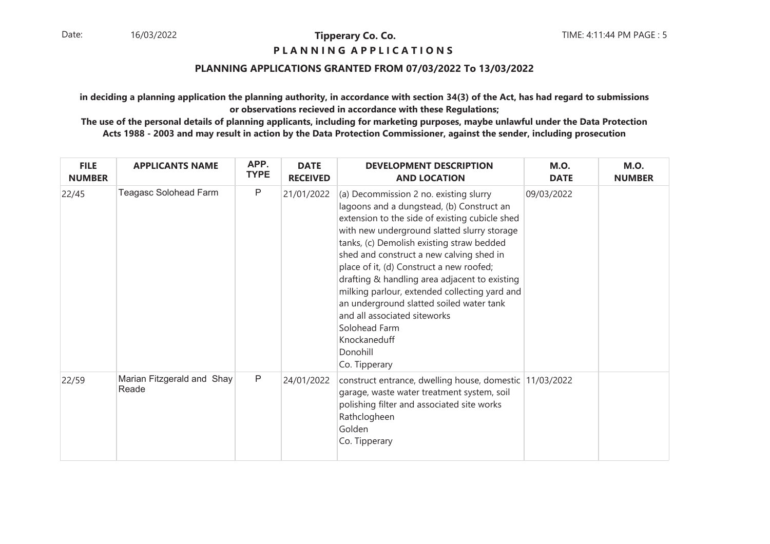## **P L A N N I N G A P P L I C A T I O N S**

## **PLANNING APPLICATIONS GRANTED FROM 07/03/2022 To 13/03/2022**

**in deciding a planning application the planning authority, in accordance with section 34(3) of the Act, has had regard to submissionsor observations recieved in accordance with these Regulations;**

| <b>FILE</b><br><b>NUMBER</b> | <b>APPLICANTS NAME</b>              | APP.<br><b>TYPE</b> | <b>DATE</b><br><b>RECEIVED</b> | <b>DEVELOPMENT DESCRIPTION</b><br><b>AND LOCATION</b>                                                                                                                                                                                                                                                                                                                                                                                                                                                                                                                 | <b>M.O.</b><br><b>DATE</b> | <b>M.O.</b><br><b>NUMBER</b> |
|------------------------------|-------------------------------------|---------------------|--------------------------------|-----------------------------------------------------------------------------------------------------------------------------------------------------------------------------------------------------------------------------------------------------------------------------------------------------------------------------------------------------------------------------------------------------------------------------------------------------------------------------------------------------------------------------------------------------------------------|----------------------------|------------------------------|
| 22/45                        | Teagasc Solohead Farm               | P                   | 21/01/2022                     | (a) Decommission 2 no. existing slurry<br>lagoons and a dungstead, (b) Construct an<br>extension to the side of existing cubicle shed<br>with new underground slatted slurry storage<br>tanks, (c) Demolish existing straw bedded<br>shed and construct a new calving shed in<br>place of it, (d) Construct a new roofed;<br>drafting & handling area adjacent to existing<br>milking parlour, extended collecting yard and<br>an underground slatted soiled water tank<br>and all associated siteworks<br>Solohead Farm<br>Knockaneduff<br>Donohill<br>Co. Tipperary | 09/03/2022                 |                              |
| 22/59                        | Marian Fitzgerald and Shay<br>Reade | $\mathsf{P}$        | 24/01/2022                     | construct entrance, dwelling house, domestic 11/03/2022<br>garage, waste water treatment system, soil<br>polishing filter and associated site works<br>Rathclogheen<br>Golden<br>Co. Tipperary                                                                                                                                                                                                                                                                                                                                                                        |                            |                              |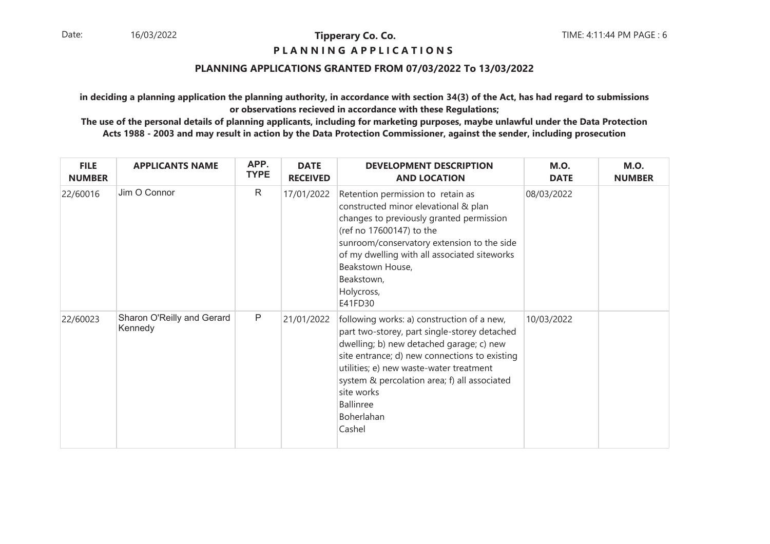## **P L A N N I N G A P P L I C A T I O N S**

## **PLANNING APPLICATIONS GRANTED FROM 07/03/2022 To 13/03/2022**

**in deciding a planning application the planning authority, in accordance with section 34(3) of the Act, has had regard to submissionsor observations recieved in accordance with these Regulations;**

| <b>FILE</b><br><b>NUMBER</b> | <b>APPLICANTS NAME</b>                | APP.<br><b>TYPE</b> | <b>DATE</b><br><b>RECEIVED</b> | <b>DEVELOPMENT DESCRIPTION</b><br><b>AND LOCATION</b>                                                                                                                                                                                                                                                                                        | <b>M.O.</b><br><b>DATE</b> | <b>M.O.</b><br><b>NUMBER</b> |
|------------------------------|---------------------------------------|---------------------|--------------------------------|----------------------------------------------------------------------------------------------------------------------------------------------------------------------------------------------------------------------------------------------------------------------------------------------------------------------------------------------|----------------------------|------------------------------|
| 22/60016                     | Jim O Connor                          | $\mathsf{R}$        | 17/01/2022                     | Retention permission to retain as<br>constructed minor elevational & plan<br>changes to previously granted permission<br>(ref no 17600147) to the<br>sunroom/conservatory extension to the side<br>of my dwelling with all associated siteworks<br>Beakstown House,<br>Beakstown,<br>Holycross,<br>E41FD30                                   | 08/03/2022                 |                              |
| 22/60023                     | Sharon O'Reilly and Gerard<br>Kennedy | P                   | 21/01/2022                     | following works: a) construction of a new,<br>part two-storey, part single-storey detached<br>dwelling; b) new detached garage; c) new<br>site entrance; d) new connections to existing<br>utilities; e) new waste-water treatment<br>system & percolation area; f) all associated<br>site works<br><b>Ballinree</b><br>Boherlahan<br>Cashel | 10/03/2022                 |                              |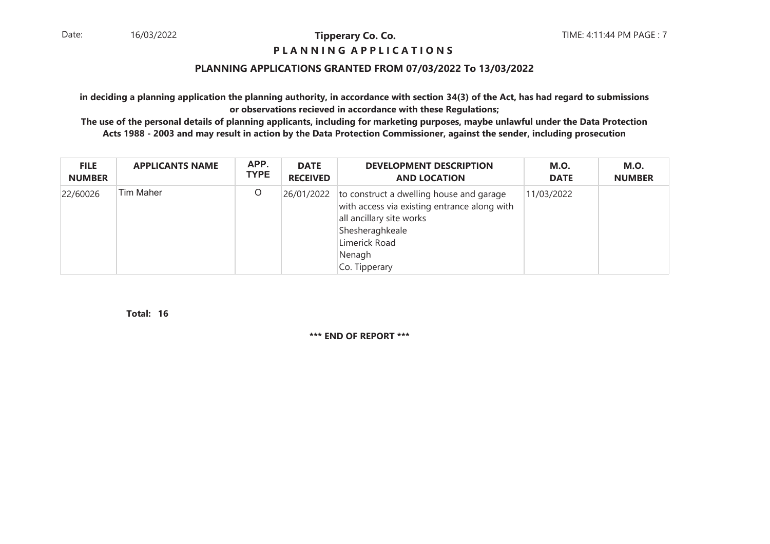## **P L A N N I N G A P P L I C A T I O N S**

## **PLANNING APPLICATIONS GRANTED FROM 07/03/2022 To 13/03/2022**

**in deciding a planning application the planning authority, in accordance with section 34(3) of the Act, has had regard to submissionsor observations recieved in accordance with these Regulations;**

 **The use of the personal details of planning applicants, including for marketing purposes, maybe unlawful under the Data ProtectionActs 1988 - 2003 and may result in action by the Data Protection Commissioner, against the sender, including prosecution**

| <b>FILE</b>   | <b>APPLICANTS NAME</b> | APP.        | <b>DATE</b>     | <b>DEVELOPMENT DESCRIPTION</b>                                                                                                                                                                 | <b>M.O.</b> | <b>M.O.</b>   |
|---------------|------------------------|-------------|-----------------|------------------------------------------------------------------------------------------------------------------------------------------------------------------------------------------------|-------------|---------------|
| <b>NUMBER</b> |                        | <b>TYPE</b> | <b>RECEIVED</b> | <b>AND LOCATION</b>                                                                                                                                                                            | <b>DATE</b> | <b>NUMBER</b> |
| 22/60026      | Tim Maher              | O           |                 | 26/01/2022 to construct a dwelling house and garage<br>with access via existing entrance along with<br>all ancillary site works<br>Shesheraghkeale<br>Limerick Road<br>Nenagh<br>Co. Tipperary | 11/03/2022  |               |

**16Total:**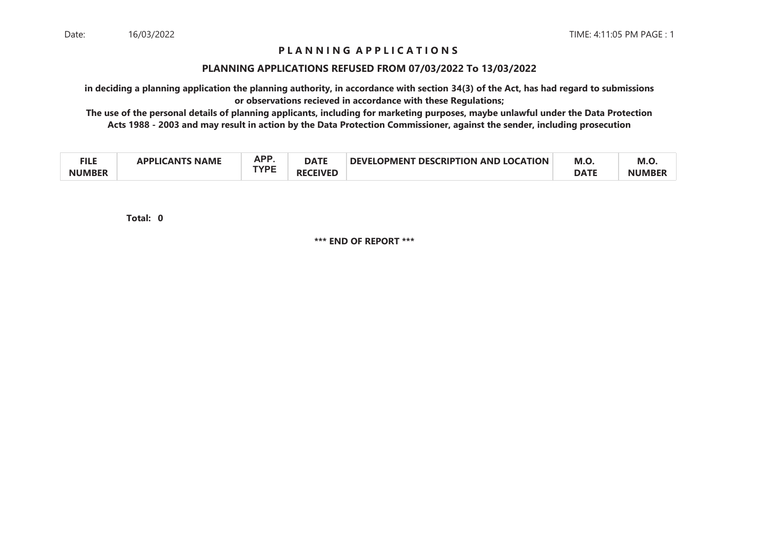## **P L A N N I N G A P P L I C A T I O N S**

#### **PLANNING APPLICATIONS REFUSED FROM 07/03/2022 To 13/03/2022**

**in deciding a planning application the planning authority, in accordance with section 34(3) of the Act, has had regard to submissionsor observations recieved in accordance with these Regulations;**

 **The use of the personal details of planning applicants, including for marketing purposes, maybe unlawful under the Data ProtectionActs 1988 - 2003 and may result in action by the Data Protection Commissioner, against the sender, including prosecution**

| - .<br>╌╻┖╌╘  | <b>NAME</b><br>ΔΡΡΙ ΙΛΔΝΤΚ | מם מ<br>mі. | <b>DATE</b><br>TVDC        | <b>FDESCRIPTION AND LOCATION</b><br><b>DEVELOPMENT</b> | M.O         | M.C          |
|---------------|----------------------------|-------------|----------------------------|--------------------------------------------------------|-------------|--------------|
| <b>NUMBER</b> |                            |             | <b>CEIVED</b><br><b>RF</b> |                                                        | <b>DATE</b> | <b>NUMBE</b> |

**0Total:**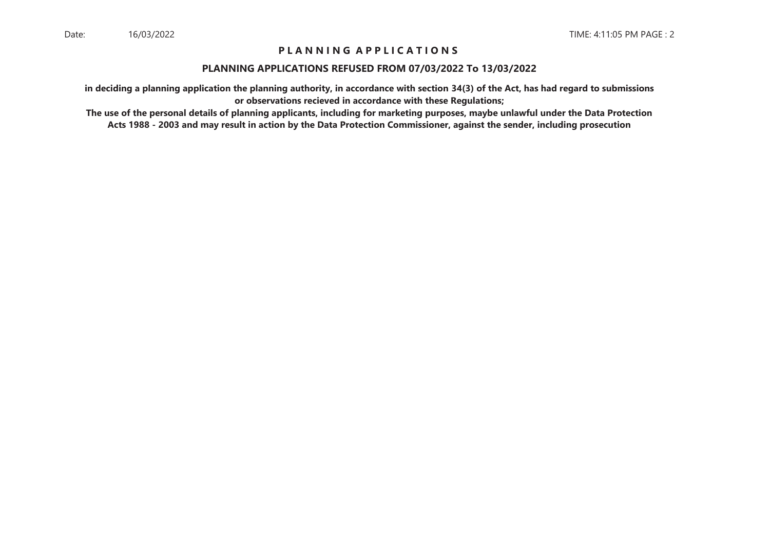## **P L A N N I N G A P P L I C A T I O N S**

### **PLANNING APPLICATIONS REFUSED FROM 07/03/2022 To 13/03/2022**

**in deciding a planning application the planning authority, in accordance with section 34(3) of the Act, has had regard to submissionsor observations recieved in accordance with these Regulations;**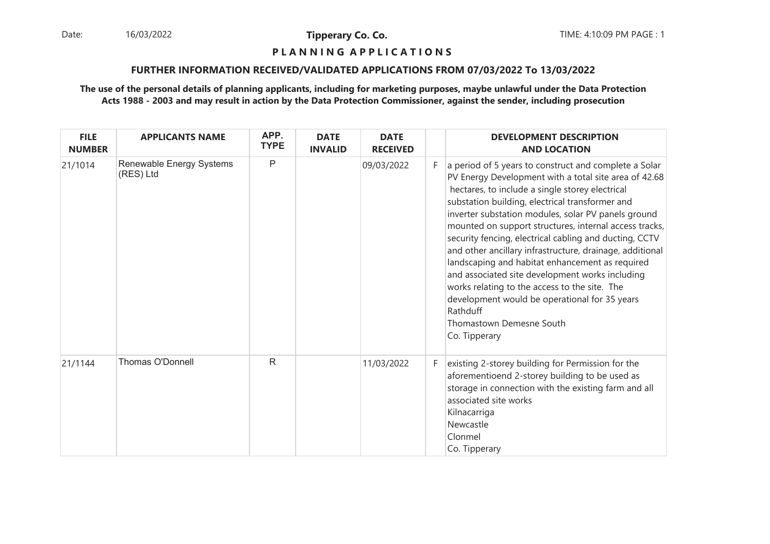Date: 16/03/2022 **Tipperary Co. Co. The Co. Co.** TIME: 4:10:09 PM PAGE : 1 16/03/2022

**Tipperary Co. Co.**

## **P L A N N I N G A P P L I C A T I O N S**

#### **FURTHER INFORMATION RECEIVED/VALIDATED APPLICATIONS FROM 07/03/2022 To 13/03/2022**

| <b>FILE</b><br><b>NUMBER</b> | <b>APPLICANTS NAME</b>                | APP.<br><b>TYPE</b> | <b>DATE</b><br><b>INVALID</b> | <b>DATE</b><br><b>RECEIVED</b> |    | <b>DEVELOPMENT DESCRIPTION</b><br><b>AND LOCATION</b>                                                                                                                                                                                                                                                                                                                                                                                                                                                                                                                                                                                                                                                                        |
|------------------------------|---------------------------------------|---------------------|-------------------------------|--------------------------------|----|------------------------------------------------------------------------------------------------------------------------------------------------------------------------------------------------------------------------------------------------------------------------------------------------------------------------------------------------------------------------------------------------------------------------------------------------------------------------------------------------------------------------------------------------------------------------------------------------------------------------------------------------------------------------------------------------------------------------------|
| 21/1014                      | Renewable Energy Systems<br>(RES) Ltd | P                   |                               | 09/03/2022                     | F. | a period of 5 years to construct and complete a Solar<br>PV Energy Development with a total site area of 42.68<br>hectares, to include a single storey electrical<br>substation building, electrical transformer and<br>inverter substation modules, solar PV panels ground<br>mounted on support structures, internal access tracks,<br>security fencing, electrical cabling and ducting, CCTV<br>and other ancillary infrastructure, drainage, additional<br>landscaping and habitat enhancement as required<br>and associated site development works including<br>works relating to the access to the site. The<br>development would be operational for 35 years<br>Rathduff<br>Thomastown Demesne South<br>Co. Tipperary |
| 21/1144                      | Thomas O'Donnell                      | R                   |                               | 11/03/2022                     | F. | existing 2-storey building for Permission for the<br>aforementioend 2-storey building to be used as<br>storage in connection with the existing farm and all<br>associated site works<br>Kilnacarriga<br>Newcastle<br>Clonmel<br>Co. Tipperary                                                                                                                                                                                                                                                                                                                                                                                                                                                                                |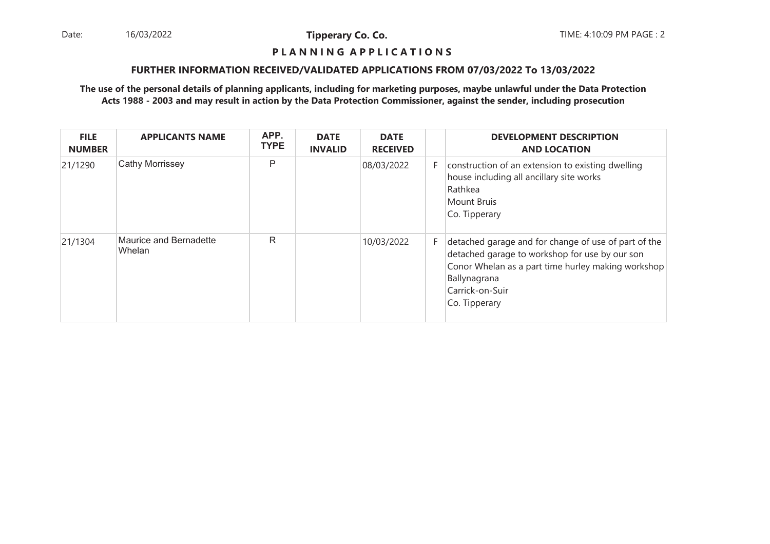Date: 16/03/2022 **Tipperary Co. Co. Co.** The TIME: 4:10:09 PM PAGE : 2 16/03/2022

**Tipperary Co. Co.**

## **P L A N N I N G A P P L I C A T I O N S**

### **FURTHER INFORMATION RECEIVED/VALIDATED APPLICATIONS FROM 07/03/2022 To 13/03/2022**

| <b>FILE</b><br><b>NUMBER</b> | <b>APPLICANTS NAME</b>           | APP.<br><b>TYPE</b> | <b>DATE</b><br><b>INVALID</b> | <b>DATE</b><br><b>RECEIVED</b> |    | <b>DEVELOPMENT DESCRIPTION</b><br><b>AND LOCATION</b>                                                                                                                                                            |
|------------------------------|----------------------------------|---------------------|-------------------------------|--------------------------------|----|------------------------------------------------------------------------------------------------------------------------------------------------------------------------------------------------------------------|
| 21/1290                      | <b>Cathy Morrissey</b>           | P                   |                               | 08/03/2022                     | F. | construction of an extension to existing dwelling<br>house including all ancillary site works<br>Rathkea<br>Mount Bruis<br>Co. Tipperary                                                                         |
| 21/1304                      | Maurice and Bernadette<br>Whelan | R                   |                               | 10/03/2022                     | F. | detached garage and for change of use of part of the<br>detached garage to workshop for use by our son<br>Conor Whelan as a part time hurley making workshop<br>Ballynagrana<br>Carrick-on-Suir<br>Co. Tipperary |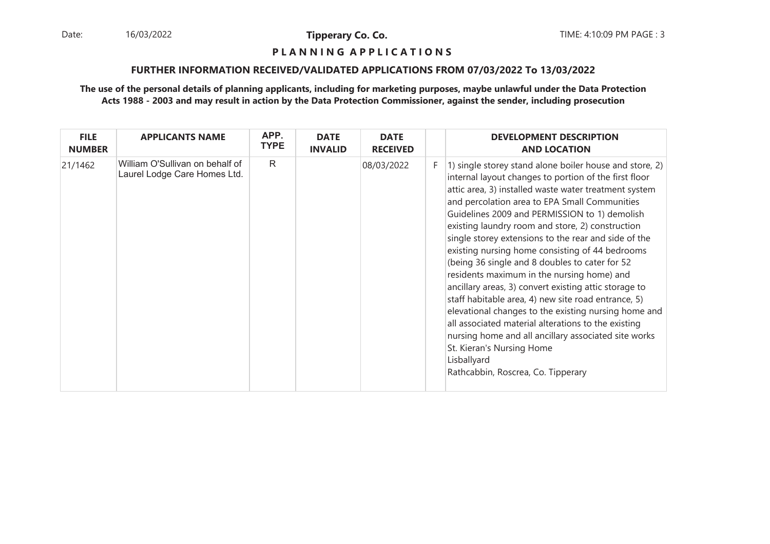Date: 16/03/2022 **Tipperary Co. Co. Co.** The TIME: 4:10:09 PM PAGE : 3 16/03/2022

**Tipperary Co. Co.**

## **P L A N N I N G A P P L I C A T I O N S**

## **FURTHER INFORMATION RECEIVED/VALIDATED APPLICATIONS FROM 07/03/2022 To 13/03/2022**

| <b>FILE</b><br><b>NUMBER</b> | <b>APPLICANTS NAME</b>                                          | APP.<br><b>TYPE</b> | <b>DATE</b><br><b>INVALID</b> | <b>DATE</b><br><b>RECEIVED</b> |    | <b>DEVELOPMENT DESCRIPTION</b><br><b>AND LOCATION</b>                                                                                                                                                                                                                                                                                                                                                                                                                                                                                                                                                                                                                                                                                                                                                                                                                                                               |
|------------------------------|-----------------------------------------------------------------|---------------------|-------------------------------|--------------------------------|----|---------------------------------------------------------------------------------------------------------------------------------------------------------------------------------------------------------------------------------------------------------------------------------------------------------------------------------------------------------------------------------------------------------------------------------------------------------------------------------------------------------------------------------------------------------------------------------------------------------------------------------------------------------------------------------------------------------------------------------------------------------------------------------------------------------------------------------------------------------------------------------------------------------------------|
| 21/1462                      | William O'Sullivan on behalf of<br>Laurel Lodge Care Homes Ltd. | R                   |                               | 08/03/2022                     | F. | 1) single storey stand alone boiler house and store, 2)<br>internal layout changes to portion of the first floor<br>attic area, 3) installed waste water treatment system<br>and percolation area to EPA Small Communities<br>Guidelines 2009 and PERMISSION to 1) demolish<br>existing laundry room and store, 2) construction<br>single storey extensions to the rear and side of the<br>existing nursing home consisting of 44 bedrooms<br>(being 36 single and 8 doubles to cater for 52<br>residents maximum in the nursing home) and<br>ancillary areas, 3) convert existing attic storage to<br>staff habitable area, 4) new site road entrance, 5)<br>elevational changes to the existing nursing home and<br>all associated material alterations to the existing<br>nursing home and all ancillary associated site works<br>St. Kieran's Nursing Home<br>Lisballyard<br>Rathcabbin, Roscrea, Co. Tipperary |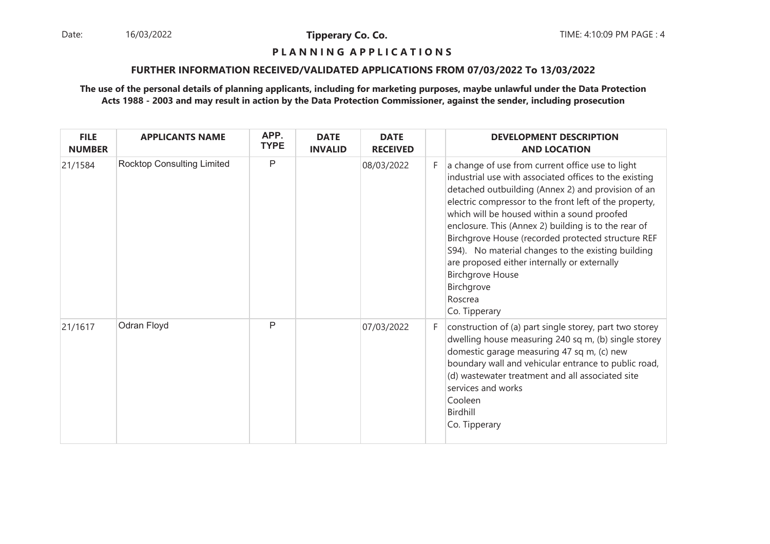Date: 16/03/2022 **Tipperary Co. Co. Co.** The TIME: 4:10:09 PM PAGE : 4 16/03/2022

**Tipperary Co. Co.**

## **P L A N N I N G A P P L I C A T I O N S**

## **FURTHER INFORMATION RECEIVED/VALIDATED APPLICATIONS FROM 07/03/2022 To 13/03/2022**

| <b>FILE</b><br><b>NUMBER</b> | <b>APPLICANTS NAME</b>            | APP.<br><b>TYPE</b> | <b>DATE</b><br><b>INVALID</b> | <b>DATE</b><br><b>RECEIVED</b> |    | <b>DEVELOPMENT DESCRIPTION</b><br><b>AND LOCATION</b>                                                                                                                                                                                                                                                                                                                                                                                                                                                                                                              |
|------------------------------|-----------------------------------|---------------------|-------------------------------|--------------------------------|----|--------------------------------------------------------------------------------------------------------------------------------------------------------------------------------------------------------------------------------------------------------------------------------------------------------------------------------------------------------------------------------------------------------------------------------------------------------------------------------------------------------------------------------------------------------------------|
| 21/1584                      | <b>Rocktop Consulting Limited</b> | P                   |                               | 08/03/2022                     | F  | a change of use from current office use to light<br>industrial use with associated offices to the existing<br>detached outbuilding (Annex 2) and provision of an<br>electric compressor to the front left of the property,<br>which will be housed within a sound proofed<br>enclosure. This (Annex 2) building is to the rear of<br>Birchgrove House (recorded protected structure REF<br>S94). No material changes to the existing building<br>are proposed either internally or externally<br><b>Birchgrove House</b><br>Birchgrove<br>Roscrea<br>Co. Tipperary |
| 21/1617                      | Odran Floyd                       | $\mathsf{P}$        |                               | 07/03/2022                     | F. | construction of (a) part single storey, part two storey<br>dwelling house measuring 240 sq m, (b) single storey<br>domestic garage measuring 47 sq m, (c) new<br>boundary wall and vehicular entrance to public road,<br>(d) wastewater treatment and all associated site<br>services and works<br>Cooleen<br>Birdhill<br>Co. Tipperary                                                                                                                                                                                                                            |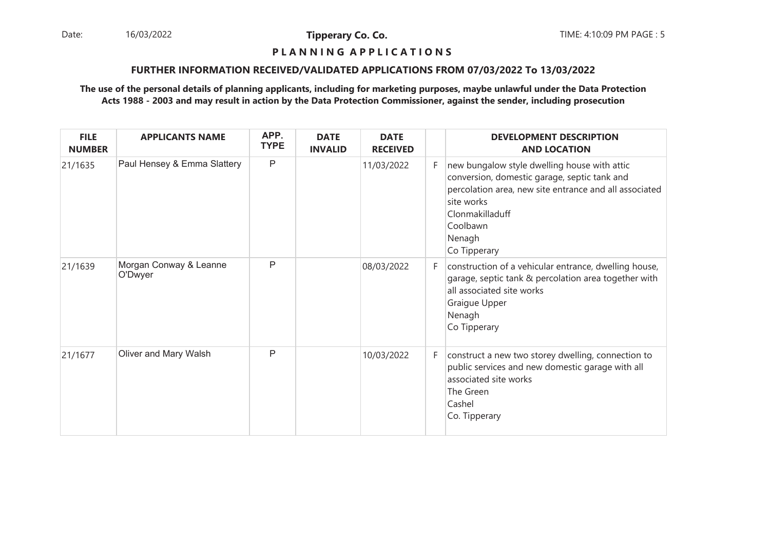Date: 16/03/2022 **Tipperary Co. Co. The Co. Co.** TIME: 4:10:09 PM PAGE : 5 16/03/2022

**Tipperary Co. Co.**

## **P L A N N I N G A P P L I C A T I O N S**

## **FURTHER INFORMATION RECEIVED/VALIDATED APPLICATIONS FROM 07/03/2022 To 13/03/2022**

| <b>FILE</b><br><b>NUMBER</b> | <b>APPLICANTS NAME</b>            | APP.<br><b>TYPE</b> | <b>DATE</b><br><b>INVALID</b> | <b>DATE</b><br><b>RECEIVED</b> |    | <b>DEVELOPMENT DESCRIPTION</b><br><b>AND LOCATION</b>                                                                                                                                                                         |
|------------------------------|-----------------------------------|---------------------|-------------------------------|--------------------------------|----|-------------------------------------------------------------------------------------------------------------------------------------------------------------------------------------------------------------------------------|
| 21/1635                      | Paul Hensey & Emma Slattery       | P                   |                               | 11/03/2022                     | F. | new bungalow style dwelling house with attic<br>conversion, domestic garage, septic tank and<br>percolation area, new site entrance and all associated<br>site works<br>Clonmakilladuff<br>Coolbawn<br>Nenagh<br>Co Tipperary |
| 21/1639                      | Morgan Conway & Leanne<br>O'Dwyer | $\mathsf{P}$        |                               | 08/03/2022                     | F. | construction of a vehicular entrance, dwelling house,<br>garage, septic tank & percolation area together with<br>all associated site works<br>Graigue Upper<br>Nenagh<br>Co Tipperary                                         |
| 21/1677                      | Oliver and Mary Walsh             | P                   |                               | 10/03/2022                     | F. | construct a new two storey dwelling, connection to<br>public services and new domestic garage with all<br>associated site works<br>The Green<br>Cashel<br>Co. Tipperary                                                       |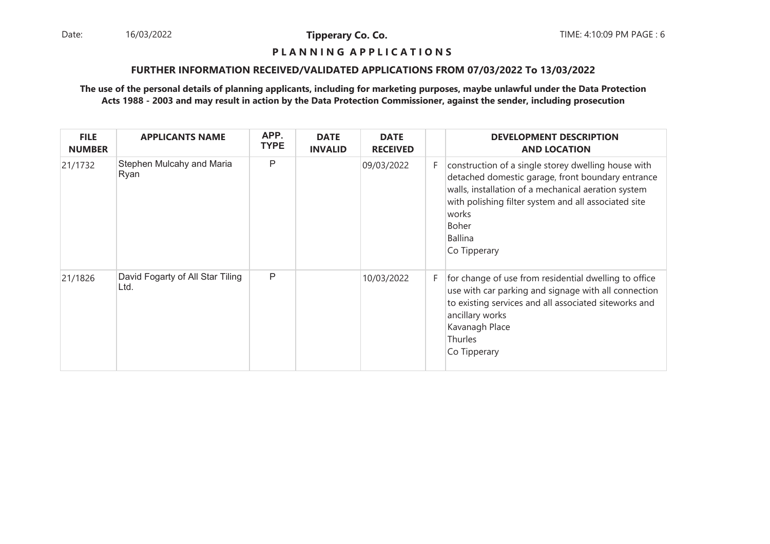Date: 16/03/2022 **Tipperary Co. Co. The Co. Co.** TIME: 4:10:09 PM PAGE : 6 16/03/2022

**Tipperary Co. Co.**

## **P L A N N I N G A P P L I C A T I O N S**

### **FURTHER INFORMATION RECEIVED/VALIDATED APPLICATIONS FROM 07/03/2022 To 13/03/2022**

| <b>FILE</b><br><b>NUMBER</b> | <b>APPLICANTS NAME</b>                   | APP.<br><b>TYPE</b> | <b>DATE</b><br><b>INVALID</b> | <b>DATE</b><br><b>RECEIVED</b> |    | <b>DEVELOPMENT DESCRIPTION</b><br><b>AND LOCATION</b>                                                                                                                                                                                                                       |
|------------------------------|------------------------------------------|---------------------|-------------------------------|--------------------------------|----|-----------------------------------------------------------------------------------------------------------------------------------------------------------------------------------------------------------------------------------------------------------------------------|
| 21/1732                      | Stephen Mulcahy and Maria<br>Ryan        | P                   |                               | 09/03/2022                     | F. | construction of a single storey dwelling house with<br>detached domestic garage, front boundary entrance<br>walls, installation of a mechanical aeration system<br>with polishing filter system and all associated site<br>works<br>Boher<br><b>Ballina</b><br>Co Tipperary |
| 21/1826                      | David Fogarty of All Star Tiling<br>Ltd. | P                   |                               | 10/03/2022                     | F. | for change of use from residential dwelling to office<br>use with car parking and signage with all connection<br>to existing services and all associated siteworks and<br>ancillary works<br>Kavanagh Place<br>Thurles<br>Co Tipperary                                      |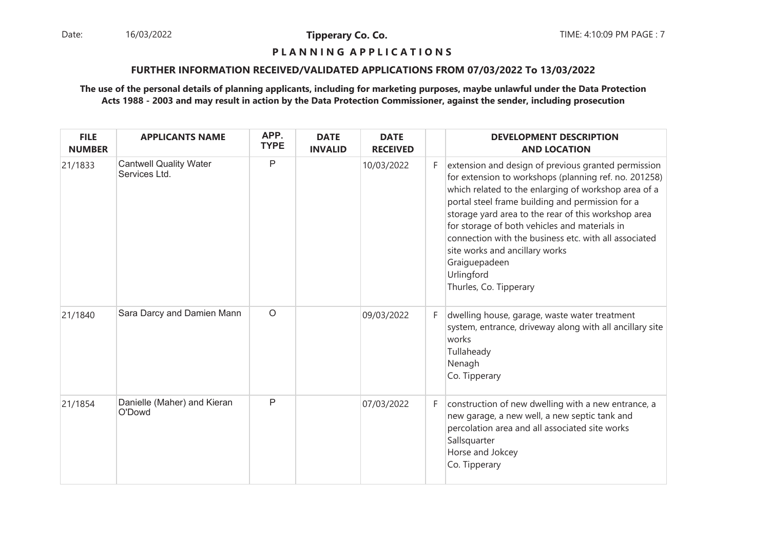Date: 16/03/2022 **Tipperary Co. Co. The Co. Co.** TIME: 4:10:09 PM PAGE : 7 16/03/2022

**Tipperary Co. Co.**

## **P L A N N I N G A P P L I C A T I O N S**

## **FURTHER INFORMATION RECEIVED/VALIDATED APPLICATIONS FROM 07/03/2022 To 13/03/2022**

| <b>FILE</b><br><b>NUMBER</b> | <b>APPLICANTS NAME</b>                         | APP.<br><b>TYPE</b> | <b>DATE</b><br><b>INVALID</b> | <b>DATE</b><br><b>RECEIVED</b> |   | <b>DEVELOPMENT DESCRIPTION</b><br><b>AND LOCATION</b>                                                                                                                                                                                                                                                                                                                                                                                                                                |
|------------------------------|------------------------------------------------|---------------------|-------------------------------|--------------------------------|---|--------------------------------------------------------------------------------------------------------------------------------------------------------------------------------------------------------------------------------------------------------------------------------------------------------------------------------------------------------------------------------------------------------------------------------------------------------------------------------------|
| 21/1833                      | <b>Cantwell Quality Water</b><br>Services Ltd. | P                   |                               | 10/03/2022                     | F | extension and design of previous granted permission<br>for extension to workshops (planning ref. no. 201258)<br>which related to the enlarging of workshop area of a<br>portal steel frame building and permission for a<br>storage yard area to the rear of this workshop area<br>for storage of both vehicles and materials in<br>connection with the business etc. with all associated<br>site works and ancillary works<br>Graiguepadeen<br>Urlingford<br>Thurles, Co. Tipperary |
| 21/1840                      | Sara Darcy and Damien Mann                     | $\circ$             |                               | 09/03/2022                     | F | dwelling house, garage, waste water treatment<br>system, entrance, driveway along with all ancillary site<br>works<br>Tullaheady<br>Nenagh<br>Co. Tipperary                                                                                                                                                                                                                                                                                                                          |
| 21/1854                      | Danielle (Maher) and Kieran<br>O'Dowd          | P                   |                               | 07/03/2022                     | F | construction of new dwelling with a new entrance, a<br>new garage, a new well, a new septic tank and<br>percolation area and all associated site works<br>Sallsquarter<br>Horse and Jokcey<br>Co. Tipperary                                                                                                                                                                                                                                                                          |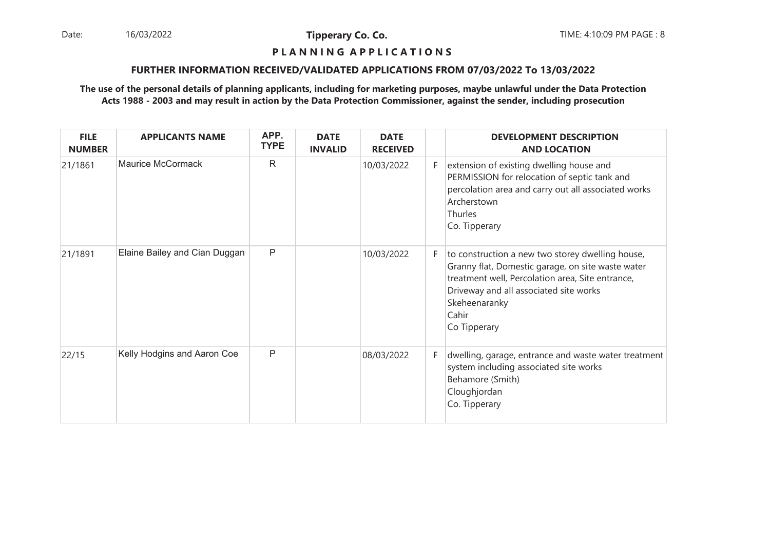Date: 16/03/2022 **Tipperary Co. Co. Co.** The TIME: 4:10:09 PM PAGE : 8 16/03/2022

**Tipperary Co. Co.**

## **P L A N N I N G A P P L I C A T I O N S**

### **FURTHER INFORMATION RECEIVED/VALIDATED APPLICATIONS FROM 07/03/2022 To 13/03/2022**

| <b>FILE</b><br><b>NUMBER</b> | <b>APPLICANTS NAME</b>        | APP.<br><b>TYPE</b> | <b>DATE</b><br><b>INVALID</b> | <b>DATE</b><br><b>RECEIVED</b> |    | <b>DEVELOPMENT DESCRIPTION</b><br><b>AND LOCATION</b>                                                                                                                                                                                         |
|------------------------------|-------------------------------|---------------------|-------------------------------|--------------------------------|----|-----------------------------------------------------------------------------------------------------------------------------------------------------------------------------------------------------------------------------------------------|
| 21/1861                      | <b>Maurice McCormack</b>      | $\mathsf{R}$        |                               | 10/03/2022                     | F. | extension of existing dwelling house and<br>PERMISSION for relocation of septic tank and<br>percolation area and carry out all associated works<br>Archerstown<br>Thurles<br>Co. Tipperary                                                    |
| 21/1891                      | Elaine Bailey and Cian Duggan | P                   |                               | 10/03/2022                     | F. | to construction a new two storey dwelling house,<br>Granny flat, Domestic garage, on site waste water<br>treatment well, Percolation area, Site entrance,<br>Driveway and all associated site works<br>Skeheenaranky<br>Cahir<br>Co Tipperary |
| 22/15                        | Kelly Hodgins and Aaron Coe   | P                   |                               | 08/03/2022                     | F. | dwelling, garage, entrance and waste water treatment<br>system including associated site works<br>Behamore (Smith)<br>Cloughjordan<br>Co. Tipperary                                                                                           |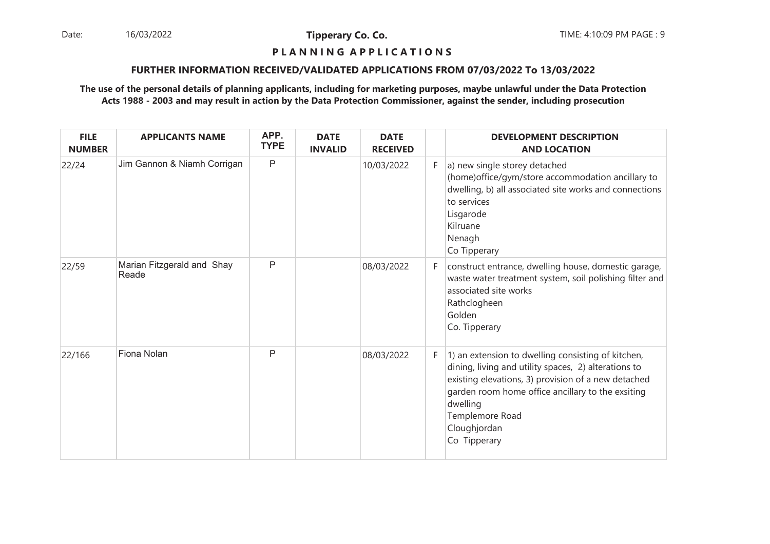Date: 16/03/2022 **Tipperary Co. Co. The Co. Co.** TIME: 4:10:09 PM PAGE : 9 16/03/2022

**Tipperary Co. Co.**

## **P L A N N I N G A P P L I C A T I O N S**

### **FURTHER INFORMATION RECEIVED/VALIDATED APPLICATIONS FROM 07/03/2022 To 13/03/2022**

| <b>FILE</b><br><b>NUMBER</b> | <b>APPLICANTS NAME</b>              | APP.<br><b>TYPE</b> | <b>DATE</b><br><b>INVALID</b> | <b>DATE</b><br><b>RECEIVED</b> |    | <b>DEVELOPMENT DESCRIPTION</b><br><b>AND LOCATION</b>                                                                                                                                                                                                                                 |
|------------------------------|-------------------------------------|---------------------|-------------------------------|--------------------------------|----|---------------------------------------------------------------------------------------------------------------------------------------------------------------------------------------------------------------------------------------------------------------------------------------|
| 22/24                        | Jim Gannon & Niamh Corrigan         | P                   |                               | 10/03/2022                     | F. | a) new single storey detached<br>(home) office/gym/store accommodation ancillary to<br>dwelling, b) all associated site works and connections<br>to services<br>Lisgarode<br>Kilruane<br>Nenagh<br>Co Tipperary                                                                       |
| 22/59                        | Marian Fitzgerald and Shay<br>Reade | P                   |                               | 08/03/2022                     | F. | construct entrance, dwelling house, domestic garage,<br>waste water treatment system, soil polishing filter and<br>associated site works<br>Rathclogheen<br>Golden<br>Co. Tipperary                                                                                                   |
| 22/166                       | Fiona Nolan                         | $\mathsf{P}$        |                               | 08/03/2022                     | F. | 1) an extension to dwelling consisting of kitchen,<br>dining, living and utility spaces, 2) alterations to<br>existing elevations, 3) provision of a new detached<br>garden room home office ancillary to the exsiting<br>dwelling<br>Templemore Road<br>Cloughjordan<br>Co Tipperary |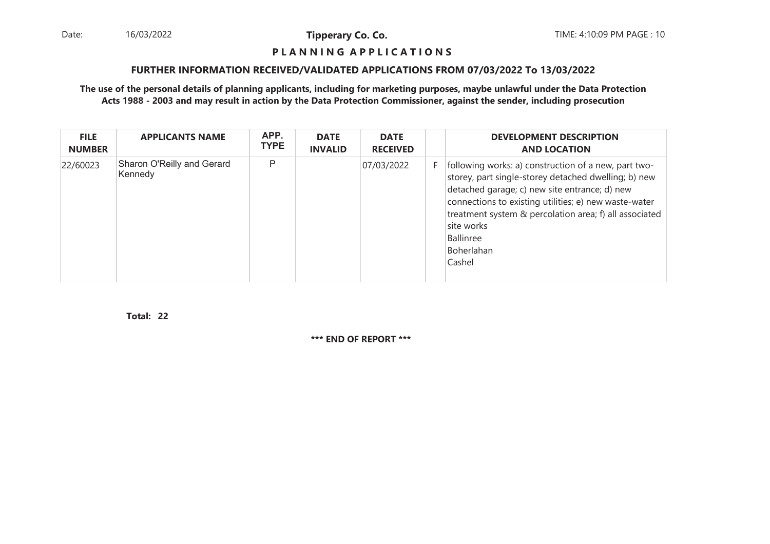16/03/2022

**Tipperary Co. Co.**

#### **P L A N N I N G A P P L I C A T I O N S**

## **FURTHER INFORMATION RECEIVED/VALIDATED APPLICATIONS FROM 07/03/2022 To 13/03/2022**

## **The use of the personal details of planning applicants, including for marketing purposes, maybe unlawful under the Data ProtectionActs 1988 - 2003 and may result in action by the Data Protection Commissioner, against the sender, including prosecution**

| <b>FILE</b><br><b>NUMBER</b> | <b>APPLICANTS NAME</b>                | APP.<br><b>TYPE</b> | <b>DATE</b><br><b>INVALID</b> | <b>DATE</b><br><b>RECEIVED</b> |    | <b>DEVELOPMENT DESCRIPTION</b><br><b>AND LOCATION</b>                                                                                                                                                                                                                                                                               |
|------------------------------|---------------------------------------|---------------------|-------------------------------|--------------------------------|----|-------------------------------------------------------------------------------------------------------------------------------------------------------------------------------------------------------------------------------------------------------------------------------------------------------------------------------------|
| 22/60023                     | Sharon O'Reilly and Gerard<br>Kennedy | P                   |                               | 07/03/2022                     | F. | following works: a) construction of a new, part two-<br>storey, part single-storey detached dwelling; b) new<br>detached garage; c) new site entrance; d) new<br>connections to existing utilities; e) new waste-water<br>treatment system & percolation area; f) all associated<br>site works<br>Ballinree<br>Boherlahan<br>Cashel |

**22Total:**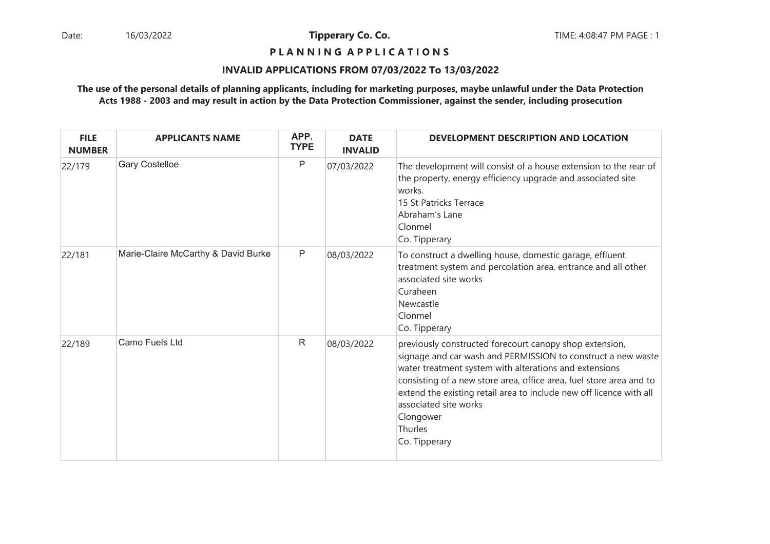## **P L A N N I N G A P P L I C A T I O N S**

## **INVALID APPLICATIONS FROM 07/03/2022 To 13/03/2022**

| <b>FILE</b><br><b>NUMBER</b> | <b>APPLICANTS NAME</b>              | APP.<br><b>TYPE</b> | <b>DATE</b><br><b>INVALID</b> | <b>DEVELOPMENT DESCRIPTION AND LOCATION</b>                                                                                                                                                                                                                                                                                                                                                       |
|------------------------------|-------------------------------------|---------------------|-------------------------------|---------------------------------------------------------------------------------------------------------------------------------------------------------------------------------------------------------------------------------------------------------------------------------------------------------------------------------------------------------------------------------------------------|
| 22/179                       | <b>Gary Costelloe</b>               | P                   | 07/03/2022                    | The development will consist of a house extension to the rear of<br>the property, energy efficiency upgrade and associated site<br>works.<br>15 St Patricks Terrace<br>Abraham's Lane<br>Clonmel<br>Co. Tipperary                                                                                                                                                                                 |
| 22/181                       | Marie-Claire McCarthy & David Burke | P                   | 08/03/2022                    | To construct a dwelling house, domestic garage, effluent<br>treatment system and percolation area, entrance and all other<br>associated site works<br>Curaheen<br>Newcastle<br>Clonmel<br>Co. Tipperary                                                                                                                                                                                           |
| 22/189                       | Camo Fuels Ltd                      | $\mathsf{R}$        | 08/03/2022                    | previously constructed forecourt canopy shop extension,<br>signage and car wash and PERMISSION to construct a new waste<br>water treatment system with alterations and extensions<br>consisting of a new store area, office area, fuel store area and to<br>extend the existing retail area to include new off licence with all<br>associated site works<br>Clongower<br>Thurles<br>Co. Tipperary |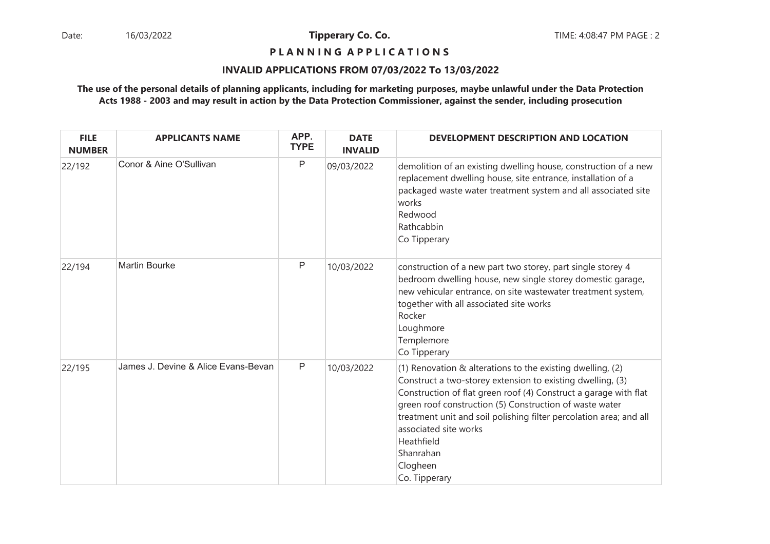## **P L A N N I N G A P P L I C A T I O N S**

#### **INVALID APPLICATIONS FROM 07/03/2022 To 13/03/2022**

| <b>FILE</b><br><b>NUMBER</b> | <b>APPLICANTS NAME</b>              | APP.<br><b>TYPE</b> | <b>DATE</b><br><b>INVALID</b> | DEVELOPMENT DESCRIPTION AND LOCATION                                                                                                                                                                                                                                                                                                                                                                              |
|------------------------------|-------------------------------------|---------------------|-------------------------------|-------------------------------------------------------------------------------------------------------------------------------------------------------------------------------------------------------------------------------------------------------------------------------------------------------------------------------------------------------------------------------------------------------------------|
| 22/192                       | Conor & Aine O'Sullivan             | P                   | 09/03/2022                    | demolition of an existing dwelling house, construction of a new<br>replacement dwelling house, site entrance, installation of a<br>packaged waste water treatment system and all associated site<br>works<br>Redwood<br>Rathcabbin<br>Co Tipperary                                                                                                                                                                |
| 22/194                       | <b>Martin Bourke</b>                | P                   | 10/03/2022                    | construction of a new part two storey, part single storey 4<br>bedroom dwelling house, new single storey domestic garage,<br>new vehicular entrance, on site wastewater treatment system,<br>together with all associated site works<br>Rocker<br>Loughmore<br>Templemore<br>Co Tipperary                                                                                                                         |
| 22/195                       | James J. Devine & Alice Evans-Bevan | P                   | 10/03/2022                    | (1) Renovation $\&$ alterations to the existing dwelling, (2)<br>Construct a two-storey extension to existing dwelling, (3)<br>Construction of flat green roof (4) Construct a garage with flat<br>green roof construction (5) Construction of waste water<br>treatment unit and soil polishing filter percolation area; and all<br>associated site works<br>Heathfield<br>Shanrahan<br>Clogheen<br>Co. Tipperary |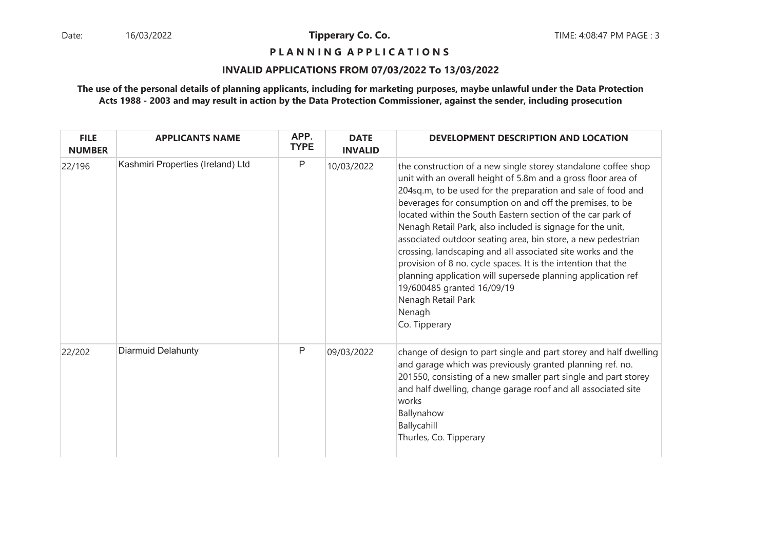**P L A N N I N G A P P L I C A T I O N S** 

## **INVALID APPLICATIONS FROM 07/03/2022 To 13/03/2022**

| <b>FILE</b><br><b>NUMBER</b> | <b>APPLICANTS NAME</b>            | APP.<br><b>TYPE</b> | <b>DATE</b><br><b>INVALID</b> | DEVELOPMENT DESCRIPTION AND LOCATION                                                                                                                                                                                                                                                                                                                                                                                                                                                                                                                                                                                                                                                                                                    |
|------------------------------|-----------------------------------|---------------------|-------------------------------|-----------------------------------------------------------------------------------------------------------------------------------------------------------------------------------------------------------------------------------------------------------------------------------------------------------------------------------------------------------------------------------------------------------------------------------------------------------------------------------------------------------------------------------------------------------------------------------------------------------------------------------------------------------------------------------------------------------------------------------------|
| 22/196                       | Kashmiri Properties (Ireland) Ltd | P                   | 10/03/2022                    | the construction of a new single storey standalone coffee shop<br>unit with an overall height of 5.8m and a gross floor area of<br>204sq.m, to be used for the preparation and sale of food and<br>beverages for consumption on and off the premises, to be<br>located within the South Eastern section of the car park of<br>Nenagh Retail Park, also included is signage for the unit,<br>associated outdoor seating area, bin store, a new pedestrian<br>crossing, landscaping and all associated site works and the<br>provision of 8 no. cycle spaces. It is the intention that the<br>planning application will supersede planning application ref<br>19/600485 granted 16/09/19<br>Nenagh Retail Park<br>Nenagh<br>Co. Tipperary |
| 22/202                       | Diarmuid Delahunty                | Ρ                   | 09/03/2022                    | change of design to part single and part storey and half dwelling<br>and garage which was previously granted planning ref. no.<br>201550, consisting of a new smaller part single and part storey<br>and half dwelling, change garage roof and all associated site<br>works<br>Ballynahow<br>Ballycahill<br>Thurles, Co. Tipperary                                                                                                                                                                                                                                                                                                                                                                                                      |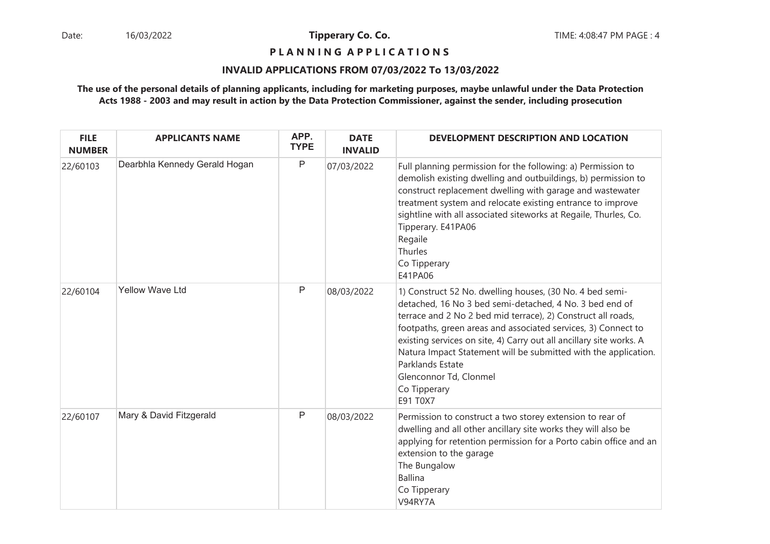## **P L A N N I N G A P P L I C A T I O N S**

## **INVALID APPLICATIONS FROM 07/03/2022 To 13/03/2022**

| <b>FILE</b><br><b>NUMBER</b> | <b>APPLICANTS NAME</b>        | APP.<br><b>TYPE</b> | <b>DATE</b><br><b>INVALID</b> | DEVELOPMENT DESCRIPTION AND LOCATION                                                                                                                                                                                                                                                                                                                                                                                                                                     |
|------------------------------|-------------------------------|---------------------|-------------------------------|--------------------------------------------------------------------------------------------------------------------------------------------------------------------------------------------------------------------------------------------------------------------------------------------------------------------------------------------------------------------------------------------------------------------------------------------------------------------------|
| 22/60103                     | Dearbhla Kennedy Gerald Hogan | P                   | 07/03/2022                    | Full planning permission for the following: a) Permission to<br>demolish existing dwelling and outbuildings, b) permission to<br>construct replacement dwelling with garage and wastewater<br>treatment system and relocate existing entrance to improve<br>sightline with all associated siteworks at Regaile, Thurles, Co.<br>Tipperary. E41PA06<br>Regaile<br>Thurles<br>Co Tipperary<br>E41PA06                                                                      |
| 22/60104                     | <b>Yellow Wave Ltd</b>        | P                   | 08/03/2022                    | 1) Construct 52 No. dwelling houses, (30 No. 4 bed semi-<br>detached, 16 No 3 bed semi-detached, 4 No. 3 bed end of<br>terrace and 2 No 2 bed mid terrace), 2) Construct all roads,<br>footpaths, green areas and associated services, 3) Connect to<br>existing services on site, 4) Carry out all ancillary site works. A<br>Natura Impact Statement will be submitted with the application.<br>Parklands Estate<br>Glenconnor Td, Clonmel<br>Co Tipperary<br>E91 T0X7 |
| 22/60107                     | Mary & David Fitzgerald       | P                   | 08/03/2022                    | Permission to construct a two storey extension to rear of<br>dwelling and all other ancillary site works they will also be<br>applying for retention permission for a Porto cabin office and an<br>extension to the garage<br>The Bungalow<br><b>Ballina</b><br>Co Tipperary<br>V94RY7A                                                                                                                                                                                  |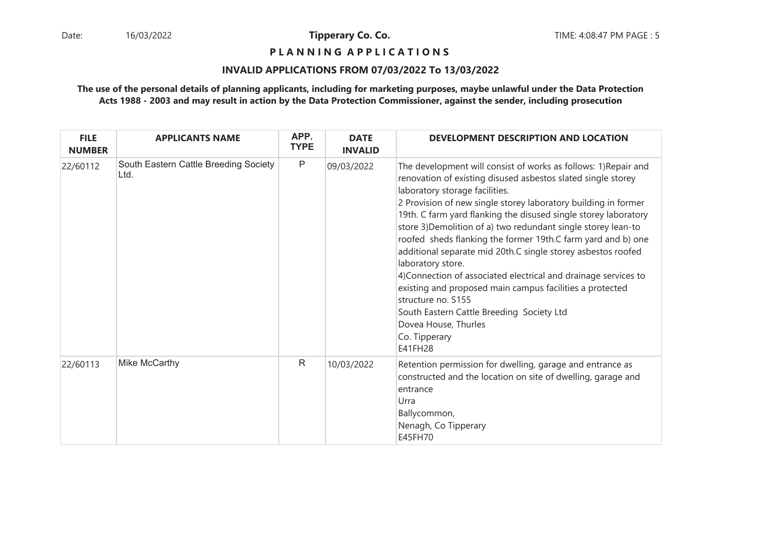**P L A N N I N G A P P L I C A T I O N S** 

## **INVALID APPLICATIONS FROM 07/03/2022 To 13/03/2022**

| <b>FILE</b><br><b>NUMBER</b> | <b>APPLICANTS NAME</b>                        | APP.<br><b>TYPE</b> | <b>DATE</b><br><b>INVALID</b> | DEVELOPMENT DESCRIPTION AND LOCATION                                                                                                                                                                                                                                                                                                                                                                                                                                                                                                                                                                                                                                                                                                                                               |
|------------------------------|-----------------------------------------------|---------------------|-------------------------------|------------------------------------------------------------------------------------------------------------------------------------------------------------------------------------------------------------------------------------------------------------------------------------------------------------------------------------------------------------------------------------------------------------------------------------------------------------------------------------------------------------------------------------------------------------------------------------------------------------------------------------------------------------------------------------------------------------------------------------------------------------------------------------|
| 22/60112                     | South Eastern Cattle Breeding Society<br>Ltd. | $\mathsf{P}$        | 09/03/2022                    | The development will consist of works as follows: 1) Repair and<br>renovation of existing disused asbestos slated single storey<br>laboratory storage facilities.<br>2 Provision of new single storey laboratory building in former<br>19th. C farm yard flanking the disused single storey laboratory<br>store 3) Demolition of a) two redundant single storey lean-to<br>roofed sheds flanking the former 19th.C farm yard and b) one<br>additional separate mid 20th.C single storey asbestos roofed<br>laboratory store.<br>4) Connection of associated electrical and drainage services to<br>existing and proposed main campus facilities a protected<br>structure no. S155<br>South Eastern Cattle Breeding Society Ltd<br>Dovea House, Thurles<br>Co. Tipperary<br>E41FH28 |
| 22/60113                     | Mike McCarthy                                 | $\mathsf{R}$        | 10/03/2022                    | Retention permission for dwelling, garage and entrance as<br>constructed and the location on site of dwelling, garage and<br>entrance<br>Urra<br>Ballycommon,<br>Nenagh, Co Tipperary<br>E45FH70                                                                                                                                                                                                                                                                                                                                                                                                                                                                                                                                                                                   |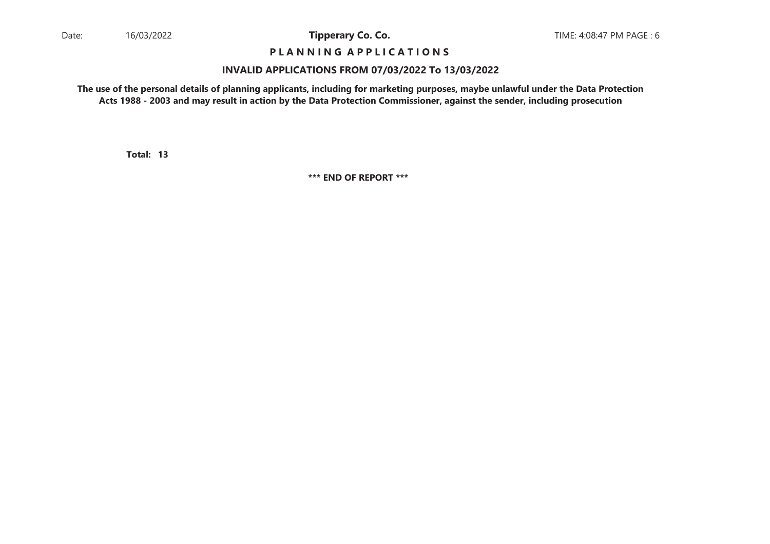## **P L A N N I N G A P P L I C A T I O N S**

#### **INVALID APPLICATIONS FROM 07/03/2022 To 13/03/2022**

**The use of the personal details of planning applicants, including for marketing purposes, maybe unlawful under the Data ProtectionActs 1988 - 2003 and may result in action by the Data Protection Commissioner, against the sender, including prosecution**

**13Total:**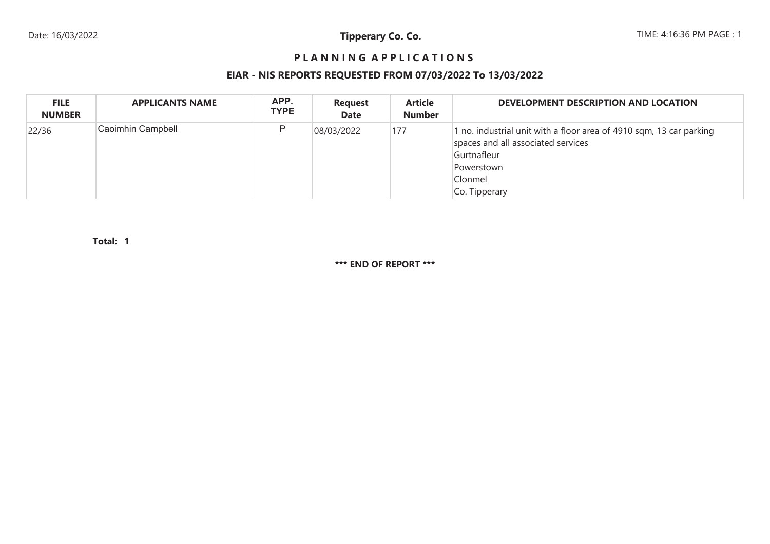# **P L A N N I N G A P P L I C A T I O N S**

## **EIAR - NIS REPORTS REQUESTED FROM 07/03/2022 To 13/03/2022**

| <b>FILE</b><br><b>NUMBER</b> | <b>APPLICANTS NAME</b> | APP.<br><b>TYPE</b> | <b>Request</b><br><b>Date</b> | <b>Article</b><br><b>Number</b> | DEVELOPMENT DESCRIPTION AND LOCATION                                                                                                                               |
|------------------------------|------------------------|---------------------|-------------------------------|---------------------------------|--------------------------------------------------------------------------------------------------------------------------------------------------------------------|
| 22/36                        | Caoimhin Campbell      | P                   | 08/03/2022                    | 177                             | 1 no. industrial unit with a floor area of 4910 sqm, 13 car parking<br>spaces and all associated services<br>Gurtnafleur<br>Powerstown<br>Clonmel<br>Co. Tipperary |

**1Total:**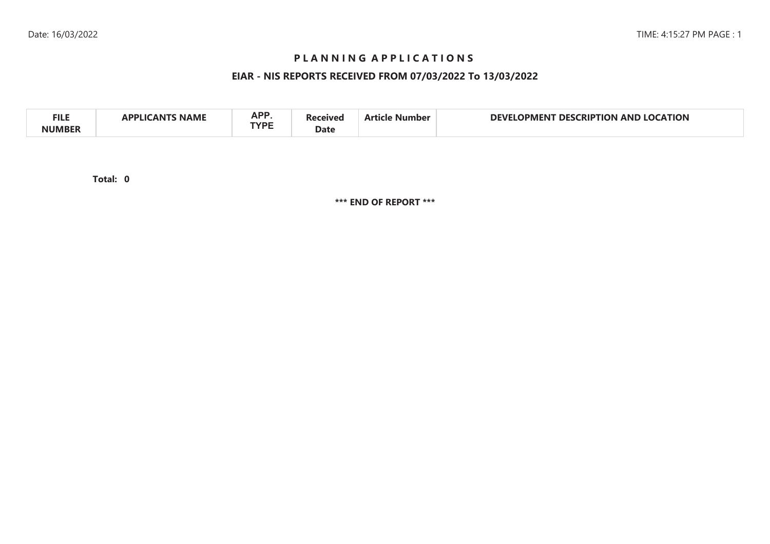## **P L A N N I N G A P P L I C A T I O N S**

## **EIAR - NIS REPORTS RECEIVED FROM 07/03/2022 To 13/03/2022**

| A DD<br><b>FILE</b><br>CATION<br>AP.<br>$\alpha$<br>DEVI<br>RIP<br>AND<br>HON<br>، ۱۷۵<br>בונו<br>1PMFN<br>NAML<br><b>TVDE</b><br>Date |  |
|----------------------------------------------------------------------------------------------------------------------------------------|--|
|----------------------------------------------------------------------------------------------------------------------------------------|--|

**0Total:**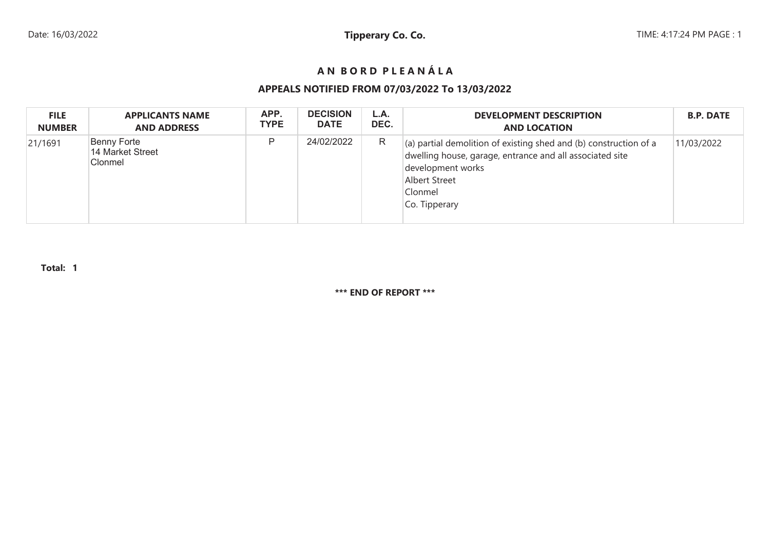# **A N B O R D P L E A N Á L A**

## **APPEALS NOTIFIED FROM 07/03/2022 To 13/03/2022**

| <b>FILE</b>   | <b>APPLICANTS NAME</b>                            | APP.        | <b>DECISION</b> | L.A. | <b>DEVELOPMENT DESCRIPTION</b>                                                                                                                                                                          | <b>B.P. DATE</b> |
|---------------|---------------------------------------------------|-------------|-----------------|------|---------------------------------------------------------------------------------------------------------------------------------------------------------------------------------------------------------|------------------|
| <b>NUMBER</b> | <b>AND ADDRESS</b>                                | <b>TYPE</b> | <b>DATE</b>     | DEC. | <b>AND LOCATION</b>                                                                                                                                                                                     |                  |
| 21/1691       | <b>Benny Forte</b><br>14 Market Street<br>Clonmel | D           | 24/02/2022      | R    | $\vert$ (a) partial demolition of existing shed and (b) construction of a<br>dwelling house, garage, entrance and all associated site<br>development works<br>Albert Street<br>Clonmel<br>Co. Tipperary | 11/03/2022       |

**Total: 1**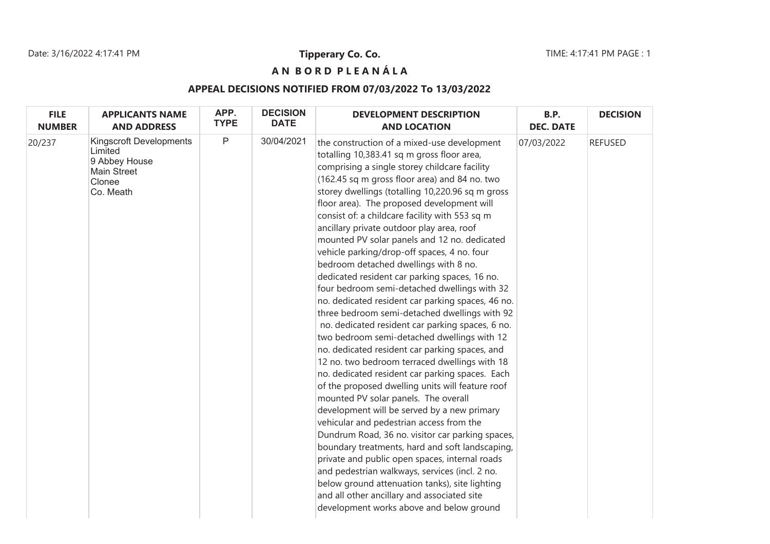# **A N B O R D P L E A N Á L A**

# **APPEAL DECISIONS NOTIFIED FROM 07/03/2022 To 13/03/2022**

| <b>FILE</b>   | <b>APPLICANTS NAME</b>                                                                                  | APP.         | <b>DECISION</b> | <b>DEVELOPMENT DESCRIPTION</b>                                                                                                                                                                                                                                                                                                                                                                                                                                                                                                                                                                                                                                                                                                                                                                                                                                                                                                                                                                                                                                                                                                                                                                                                                                                                                                                                                                                                                                                                                                                      | B.P.             | <b>DECISION</b> |
|---------------|---------------------------------------------------------------------------------------------------------|--------------|-----------------|-----------------------------------------------------------------------------------------------------------------------------------------------------------------------------------------------------------------------------------------------------------------------------------------------------------------------------------------------------------------------------------------------------------------------------------------------------------------------------------------------------------------------------------------------------------------------------------------------------------------------------------------------------------------------------------------------------------------------------------------------------------------------------------------------------------------------------------------------------------------------------------------------------------------------------------------------------------------------------------------------------------------------------------------------------------------------------------------------------------------------------------------------------------------------------------------------------------------------------------------------------------------------------------------------------------------------------------------------------------------------------------------------------------------------------------------------------------------------------------------------------------------------------------------------------|------------------|-----------------|
| <b>NUMBER</b> | <b>AND ADDRESS</b>                                                                                      | <b>TYPE</b>  | <b>DATE</b>     | <b>AND LOCATION</b>                                                                                                                                                                                                                                                                                                                                                                                                                                                                                                                                                                                                                                                                                                                                                                                                                                                                                                                                                                                                                                                                                                                                                                                                                                                                                                                                                                                                                                                                                                                                 | <b>DEC. DATE</b> |                 |
| 20/237        | <b>Kingscroft Developments</b><br>Limited<br>9 Abbey House<br><b>Main Street</b><br>Clonee<br>Co. Meath | $\mathsf{P}$ | 30/04/2021      | the construction of a mixed-use development<br>totalling 10,383.41 sq m gross floor area,<br>comprising a single storey childcare facility<br>(162.45 sq m gross floor area) and 84 no. two<br>storey dwellings (totalling 10,220.96 sq m gross<br>floor area). The proposed development will<br>consist of: a childcare facility with 553 sq m<br>ancillary private outdoor play area, roof<br>mounted PV solar panels and 12 no. dedicated<br>vehicle parking/drop-off spaces, 4 no. four<br>bedroom detached dwellings with 8 no.<br>dedicated resident car parking spaces, 16 no.<br>four bedroom semi-detached dwellings with 32<br>no. dedicated resident car parking spaces, 46 no.<br>three bedroom semi-detached dwellings with 92<br>no. dedicated resident car parking spaces, 6 no.<br>two bedroom semi-detached dwellings with 12<br>no. dedicated resident car parking spaces, and<br>12 no. two bedroom terraced dwellings with 18<br>no. dedicated resident car parking spaces. Each<br>of the proposed dwelling units will feature roof<br>mounted PV solar panels. The overall<br>development will be served by a new primary<br>vehicular and pedestrian access from the<br>Dundrum Road, 36 no. visitor car parking spaces,<br>boundary treatments, hard and soft landscaping,<br>private and public open spaces, internal roads<br>and pedestrian walkways, services (incl. 2 no.<br>below ground attenuation tanks), site lighting<br>and all other ancillary and associated site<br>development works above and below ground | 07/03/2022       | <b>REFUSED</b>  |